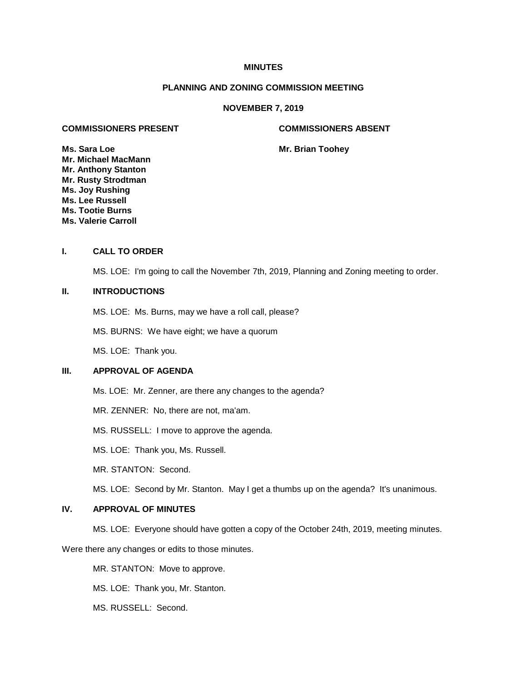## **MINUTES**

# **PLANNING AND ZONING COMMISSION MEETING**

## **NOVEMBER 7, 2019**

## **COMMISSIONERS PRESENT COMMISSIONERS ABSENT**

**Ms. Sara Loe Mr. Brian Toohey Mr. Michael MacMann Mr. Anthony Stanton Mr. Rusty Strodtman Ms. Joy Rushing Ms. Lee Russell Ms. Tootie Burns Ms. Valerie Carroll**

## **I. CALL TO ORDER**

MS. LOE: I'm going to call the November 7th, 2019, Planning and Zoning meeting to order.

# **II. INTRODUCTIONS**

MS. LOE: Ms. Burns, may we have a roll call, please?

MS. BURNS: We have eight; we have a quorum

MS. LOE: Thank you.

# **III. APPROVAL OF AGENDA**

Ms. LOE: Mr. Zenner, are there any changes to the agenda?

MR. ZENNER: No, there are not, ma'am.

MS. RUSSELL: I move to approve the agenda.

MS. LOE: Thank you, Ms. Russell.

MR. STANTON: Second.

MS. LOE: Second by Mr. Stanton. May I get a thumbs up on the agenda? It's unanimous.

# **IV. APPROVAL OF MINUTES**

MS. LOE: Everyone should have gotten a copy of the October 24th, 2019, meeting minutes.

Were there any changes or edits to those minutes.

MR. STANTON: Move to approve.

MS. LOE: Thank you, Mr. Stanton.

MS. RUSSELL: Second.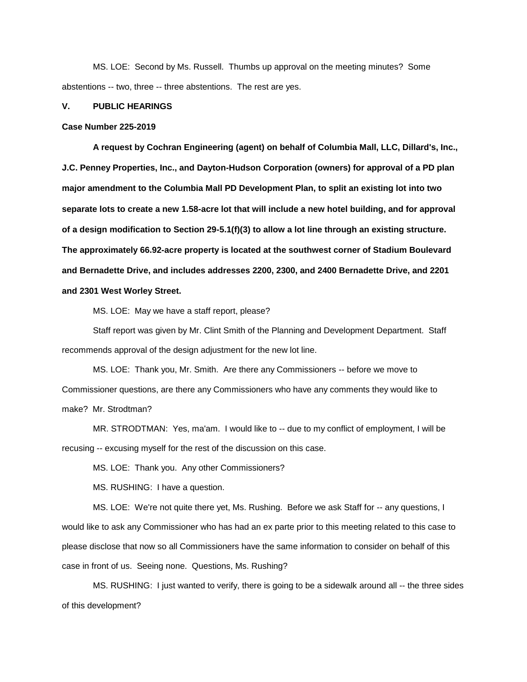MS. LOE: Second by Ms. Russell. Thumbs up approval on the meeting minutes? Some abstentions -- two, three -- three abstentions. The rest are yes.

### **V. PUBLIC HEARINGS**

#### **Case Number 225-2019**

**A request by Cochran Engineering (agent) on behalf of Columbia Mall, LLC, Dillard's, Inc., J.C. Penney Properties, Inc., and Dayton-Hudson Corporation (owners) for approval of a PD plan major amendment to the Columbia Mall PD Development Plan, to split an existing lot into two separate lots to create a new 1.58-acre lot that will include a new hotel building, and for approval of a design modification to Section 29-5.1(f)(3) to allow a lot line through an existing structure. The approximately 66.92-acre property is located at the southwest corner of Stadium Boulevard and Bernadette Drive, and includes addresses 2200, 2300, and 2400 Bernadette Drive, and 2201 and 2301 West Worley Street.** 

MS. LOE: May we have a staff report, please?

Staff report was given by Mr. Clint Smith of the Planning and Development Department. Staff recommends approval of the design adjustment for the new lot line.

MS. LOE: Thank you, Mr. Smith. Are there any Commissioners -- before we move to Commissioner questions, are there any Commissioners who have any comments they would like to make? Mr. Strodtman?

MR. STRODTMAN: Yes, ma'am. I would like to -- due to my conflict of employment, I will be recusing -- excusing myself for the rest of the discussion on this case.

MS. LOE: Thank you. Any other Commissioners?

MS. RUSHING: I have a question.

MS. LOE: We're not quite there yet, Ms. Rushing. Before we ask Staff for -- any questions, I would like to ask any Commissioner who has had an ex parte prior to this meeting related to this case to please disclose that now so all Commissioners have the same information to consider on behalf of this case in front of us. Seeing none. Questions, Ms. Rushing?

MS. RUSHING: I just wanted to verify, there is going to be a sidewalk around all -- the three sides of this development?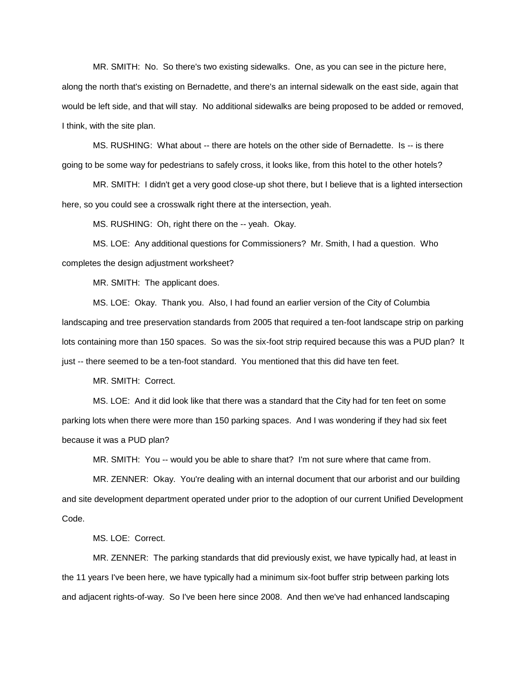MR. SMITH: No. So there's two existing sidewalks. One, as you can see in the picture here, along the north that's existing on Bernadette, and there's an internal sidewalk on the east side, again that would be left side, and that will stay. No additional sidewalks are being proposed to be added or removed, I think, with the site plan.

MS. RUSHING: What about -- there are hotels on the other side of Bernadette. Is -- is there going to be some way for pedestrians to safely cross, it looks like, from this hotel to the other hotels?

MR. SMITH: I didn't get a very good close-up shot there, but I believe that is a lighted intersection here, so you could see a crosswalk right there at the intersection, yeah.

MS. RUSHING: Oh, right there on the -- yeah. Okay.

MS. LOE: Any additional questions for Commissioners? Mr. Smith, I had a question. Who completes the design adjustment worksheet?

MR. SMITH: The applicant does.

MS. LOE: Okay. Thank you. Also, I had found an earlier version of the City of Columbia landscaping and tree preservation standards from 2005 that required a ten-foot landscape strip on parking lots containing more than 150 spaces. So was the six-foot strip required because this was a PUD plan? It just -- there seemed to be a ten-foot standard. You mentioned that this did have ten feet.

MR. SMITH: Correct.

MS. LOE: And it did look like that there was a standard that the City had for ten feet on some parking lots when there were more than 150 parking spaces. And I was wondering if they had six feet because it was a PUD plan?

MR. SMITH: You -- would you be able to share that? I'm not sure where that came from.

MR. ZENNER: Okay. You're dealing with an internal document that our arborist and our building and site development department operated under prior to the adoption of our current Unified Development Code.

MS. LOE: Correct.

MR. ZENNER: The parking standards that did previously exist, we have typically had, at least in the 11 years I've been here, we have typically had a minimum six-foot buffer strip between parking lots and adjacent rights-of-way. So I've been here since 2008. And then we've had enhanced landscaping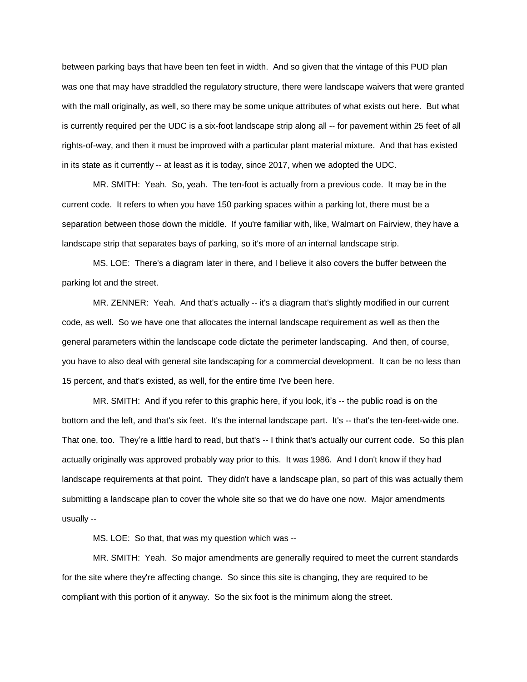between parking bays that have been ten feet in width. And so given that the vintage of this PUD plan was one that may have straddled the regulatory structure, there were landscape waivers that were granted with the mall originally, as well, so there may be some unique attributes of what exists out here. But what is currently required per the UDC is a six-foot landscape strip along all -- for pavement within 25 feet of all rights-of-way, and then it must be improved with a particular plant material mixture. And that has existed in its state as it currently -- at least as it is today, since 2017, when we adopted the UDC.

MR. SMITH: Yeah. So, yeah. The ten-foot is actually from a previous code. It may be in the current code. It refers to when you have 150 parking spaces within a parking lot, there must be a separation between those down the middle. If you're familiar with, like, Walmart on Fairview, they have a landscape strip that separates bays of parking, so it's more of an internal landscape strip.

MS. LOE: There's a diagram later in there, and I believe it also covers the buffer between the parking lot and the street.

MR. ZENNER: Yeah. And that's actually -- it's a diagram that's slightly modified in our current code, as well. So we have one that allocates the internal landscape requirement as well as then the general parameters within the landscape code dictate the perimeter landscaping. And then, of course, you have to also deal with general site landscaping for a commercial development. It can be no less than 15 percent, and that's existed, as well, for the entire time I've been here.

MR. SMITH: And if you refer to this graphic here, if you look, it's -- the public road is on the bottom and the left, and that's six feet. It's the internal landscape part. It's -- that's the ten-feet-wide one. That one, too. They're a little hard to read, but that's -- I think that's actually our current code. So this plan actually originally was approved probably way prior to this. It was 1986. And I don't know if they had landscape requirements at that point. They didn't have a landscape plan, so part of this was actually them submitting a landscape plan to cover the whole site so that we do have one now. Major amendments usually --

MS. LOE: So that, that was my question which was --

MR. SMITH: Yeah. So major amendments are generally required to meet the current standards for the site where they're affecting change. So since this site is changing, they are required to be compliant with this portion of it anyway. So the six foot is the minimum along the street.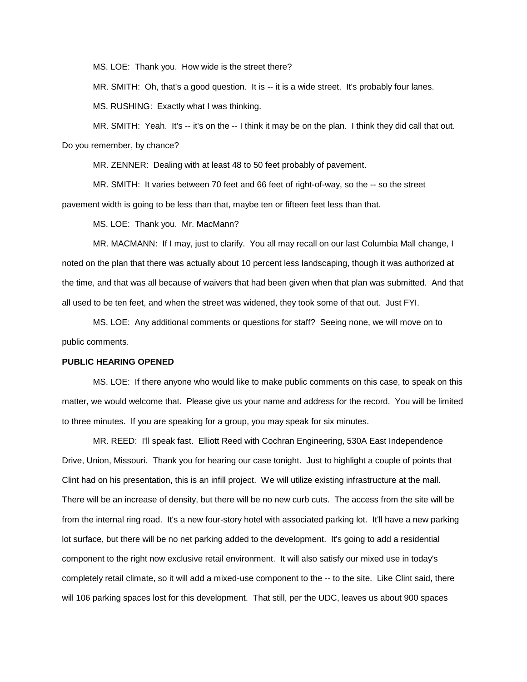MS. LOE: Thank you. How wide is the street there?

MR. SMITH: Oh, that's a good question. It is -- it is a wide street. It's probably four lanes.

MS. RUSHING: Exactly what I was thinking.

MR. SMITH: Yeah. It's -- it's on the -- I think it may be on the plan. I think they did call that out. Do you remember, by chance?

MR. ZENNER: Dealing with at least 48 to 50 feet probably of pavement.

MR. SMITH: It varies between 70 feet and 66 feet of right-of-way, so the -- so the street pavement width is going to be less than that, maybe ten or fifteen feet less than that.

MS. LOE: Thank you. Mr. MacMann?

MR. MACMANN: If I may, just to clarify. You all may recall on our last Columbia Mall change, I noted on the plan that there was actually about 10 percent less landscaping, though it was authorized at the time, and that was all because of waivers that had been given when that plan was submitted. And that all used to be ten feet, and when the street was widened, they took some of that out. Just FYI.

MS. LOE: Any additional comments or questions for staff? Seeing none, we will move on to public comments.

### **PUBLIC HEARING OPENED**

MS. LOE: If there anyone who would like to make public comments on this case, to speak on this matter, we would welcome that. Please give us your name and address for the record. You will be limited to three minutes. If you are speaking for a group, you may speak for six minutes.

MR. REED: I'll speak fast. Elliott Reed with Cochran Engineering, 530A East Independence Drive, Union, Missouri. Thank you for hearing our case tonight. Just to highlight a couple of points that Clint had on his presentation, this is an infill project. We will utilize existing infrastructure at the mall. There will be an increase of density, but there will be no new curb cuts. The access from the site will be from the internal ring road. It's a new four-story hotel with associated parking lot. It'll have a new parking lot surface, but there will be no net parking added to the development. It's going to add a residential component to the right now exclusive retail environment. It will also satisfy our mixed use in today's completely retail climate, so it will add a mixed-use component to the -- to the site. Like Clint said, there will 106 parking spaces lost for this development. That still, per the UDC, leaves us about 900 spaces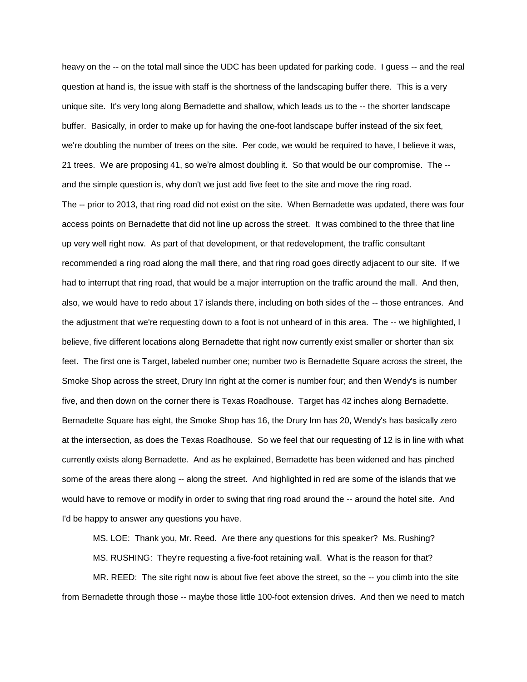heavy on the -- on the total mall since the UDC has been updated for parking code. I guess -- and the real question at hand is, the issue with staff is the shortness of the landscaping buffer there. This is a very unique site. It's very long along Bernadette and shallow, which leads us to the -- the shorter landscape buffer. Basically, in order to make up for having the one-foot landscape buffer instead of the six feet, we're doubling the number of trees on the site. Per code, we would be required to have, I believe it was, 21 trees. We are proposing 41, so we're almost doubling it. So that would be our compromise. The - and the simple question is, why don't we just add five feet to the site and move the ring road. The -- prior to 2013, that ring road did not exist on the site. When Bernadette was updated, there was four access points on Bernadette that did not line up across the street. It was combined to the three that line up very well right now. As part of that development, or that redevelopment, the traffic consultant recommended a ring road along the mall there, and that ring road goes directly adjacent to our site. If we had to interrupt that ring road, that would be a major interruption on the traffic around the mall. And then, also, we would have to redo about 17 islands there, including on both sides of the -- those entrances. And the adjustment that we're requesting down to a foot is not unheard of in this area. The -- we highlighted, I believe, five different locations along Bernadette that right now currently exist smaller or shorter than six feet. The first one is Target, labeled number one; number two is Bernadette Square across the street, the Smoke Shop across the street, Drury Inn right at the corner is number four; and then Wendy's is number five, and then down on the corner there is Texas Roadhouse. Target has 42 inches along Bernadette. Bernadette Square has eight, the Smoke Shop has 16, the Drury Inn has 20, Wendy's has basically zero at the intersection, as does the Texas Roadhouse. So we feel that our requesting of 12 is in line with what currently exists along Bernadette. And as he explained, Bernadette has been widened and has pinched some of the areas there along -- along the street. And highlighted in red are some of the islands that we would have to remove or modify in order to swing that ring road around the -- around the hotel site. And I'd be happy to answer any questions you have.

MS. LOE: Thank you, Mr. Reed. Are there any questions for this speaker? Ms. Rushing?

MS. RUSHING: They're requesting a five-foot retaining wall. What is the reason for that?

MR. REED: The site right now is about five feet above the street, so the -- you climb into the site from Bernadette through those -- maybe those little 100-foot extension drives. And then we need to match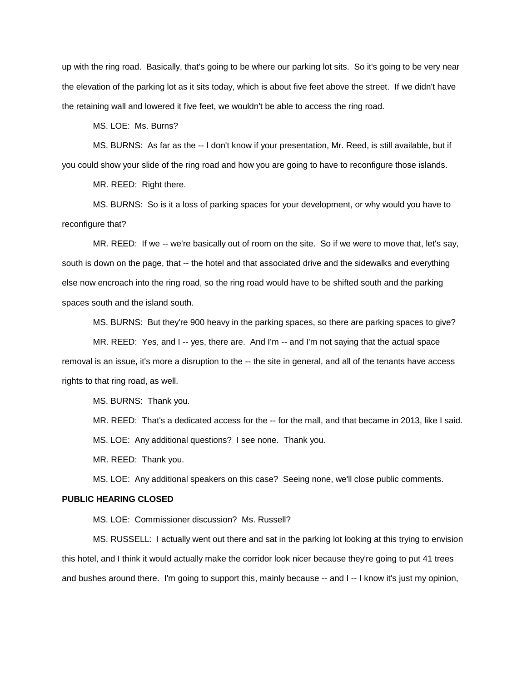up with the ring road. Basically, that's going to be where our parking lot sits. So it's going to be very near the elevation of the parking lot as it sits today, which is about five feet above the street. If we didn't have the retaining wall and lowered it five feet, we wouldn't be able to access the ring road.

MS. LOE: Ms. Burns?

MS. BURNS: As far as the -- I don't know if your presentation, Mr. Reed, is still available, but if you could show your slide of the ring road and how you are going to have to reconfigure those islands.

MR. REED: Right there.

MS. BURNS: So is it a loss of parking spaces for your development, or why would you have to reconfigure that?

MR. REED: If we -- we're basically out of room on the site. So if we were to move that, let's say, south is down on the page, that -- the hotel and that associated drive and the sidewalks and everything else now encroach into the ring road, so the ring road would have to be shifted south and the parking spaces south and the island south.

MS. BURNS: But they're 900 heavy in the parking spaces, so there are parking spaces to give?

MR. REED: Yes, and I -- yes, there are. And I'm -- and I'm not saying that the actual space removal is an issue, it's more a disruption to the -- the site in general, and all of the tenants have access rights to that ring road, as well.

MS. BURNS: Thank you.

MR. REED: That's a dedicated access for the -- for the mall, and that became in 2013, like I said. MS. LOE: Any additional questions? I see none. Thank you.

MR. REED: Thank you.

MS. LOE: Any additional speakers on this case? Seeing none, we'll close public comments.

# **PUBLIC HEARING CLOSED**

MS. LOE: Commissioner discussion? Ms. Russell?

MS. RUSSELL: I actually went out there and sat in the parking lot looking at this trying to envision this hotel, and I think it would actually make the corridor look nicer because they're going to put 41 trees and bushes around there. I'm going to support this, mainly because -- and I -- I know it's just my opinion,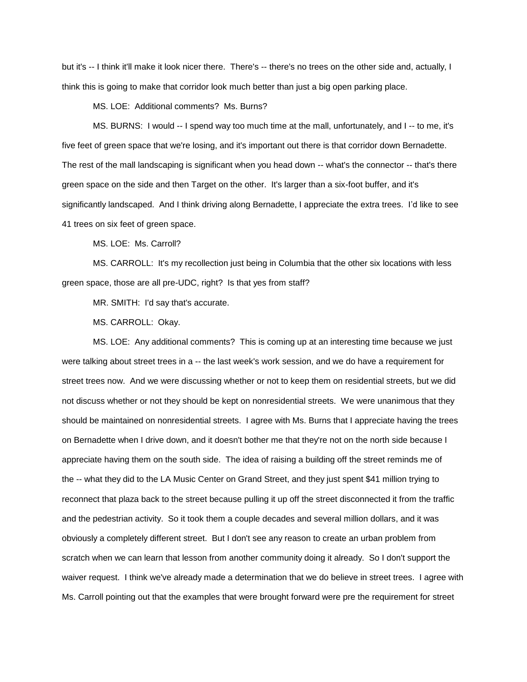but it's -- I think it'll make it look nicer there. There's -- there's no trees on the other side and, actually, I think this is going to make that corridor look much better than just a big open parking place.

MS. LOE: Additional comments? Ms. Burns?

MS. BURNS: I would -- I spend way too much time at the mall, unfortunately, and I -- to me, it's five feet of green space that we're losing, and it's important out there is that corridor down Bernadette. The rest of the mall landscaping is significant when you head down -- what's the connector -- that's there green space on the side and then Target on the other. It's larger than a six-foot buffer, and it's significantly landscaped. And I think driving along Bernadette, I appreciate the extra trees. I'd like to see 41 trees on six feet of green space.

MS. LOE: Ms. Carroll?

MS. CARROLL: It's my recollection just being in Columbia that the other six locations with less green space, those are all pre-UDC, right? Is that yes from staff?

MR. SMITH: I'd say that's accurate.

MS. CARROLL: Okay.

MS. LOE: Any additional comments? This is coming up at an interesting time because we just were talking about street trees in a -- the last week's work session, and we do have a requirement for street trees now. And we were discussing whether or not to keep them on residential streets, but we did not discuss whether or not they should be kept on nonresidential streets. We were unanimous that they should be maintained on nonresidential streets. I agree with Ms. Burns that I appreciate having the trees on Bernadette when I drive down, and it doesn't bother me that they're not on the north side because I appreciate having them on the south side. The idea of raising a building off the street reminds me of the -- what they did to the LA Music Center on Grand Street, and they just spent \$41 million trying to reconnect that plaza back to the street because pulling it up off the street disconnected it from the traffic and the pedestrian activity. So it took them a couple decades and several million dollars, and it was obviously a completely different street. But I don't see any reason to create an urban problem from scratch when we can learn that lesson from another community doing it already. So I don't support the waiver request. I think we've already made a determination that we do believe in street trees. I agree with Ms. Carroll pointing out that the examples that were brought forward were pre the requirement for street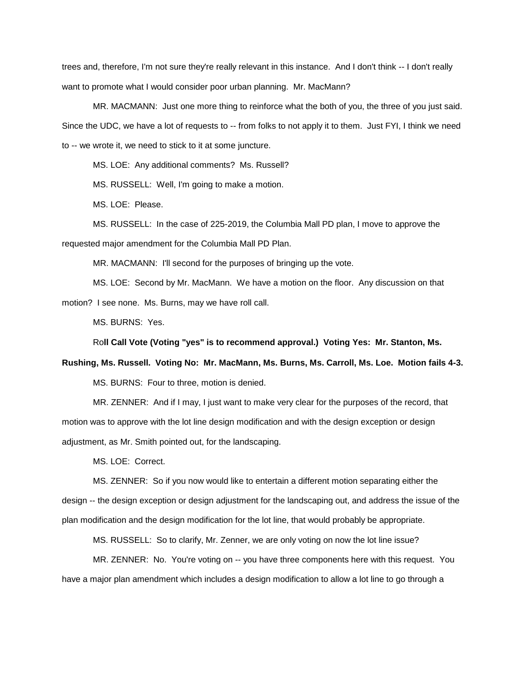trees and, therefore, I'm not sure they're really relevant in this instance. And I don't think -- I don't really want to promote what I would consider poor urban planning. Mr. MacMann?

MR. MACMANN: Just one more thing to reinforce what the both of you, the three of you just said. Since the UDC, we have a lot of requests to -- from folks to not apply it to them. Just FYI, I think we need to -- we wrote it, we need to stick to it at some juncture.

MS. LOE: Any additional comments? Ms. Russell?

MS. RUSSELL: Well, I'm going to make a motion.

MS. LOE: Please.

MS. RUSSELL: In the case of 225-2019, the Columbia Mall PD plan, I move to approve the requested major amendment for the Columbia Mall PD Plan.

MR. MACMANN: I'll second for the purposes of bringing up the vote.

MS. LOE: Second by Mr. MacMann. We have a motion on the floor. Any discussion on that motion? I see none. Ms. Burns, may we have roll call.

MS. BURNS: Yes.

Ro**ll Call Vote (Voting "yes" is to recommend approval.) Voting Yes: Mr. Stanton, Ms.** 

**Rushing, Ms. Russell. Voting No: Mr. MacMann, Ms. Burns, Ms. Carroll, Ms. Loe. Motion fails 4-3.** 

MS. BURNS: Four to three, motion is denied.

MR. ZENNER: And if I may, I just want to make very clear for the purposes of the record, that motion was to approve with the lot line design modification and with the design exception or design adjustment, as Mr. Smith pointed out, for the landscaping.

MS. LOE: Correct.

MS. ZENNER: So if you now would like to entertain a different motion separating either the design -- the design exception or design adjustment for the landscaping out, and address the issue of the plan modification and the design modification for the lot line, that would probably be appropriate.

MS. RUSSELL: So to clarify, Mr. Zenner, we are only voting on now the lot line issue?

MR. ZENNER: No. You're voting on -- you have three components here with this request. You have a major plan amendment which includes a design modification to allow a lot line to go through a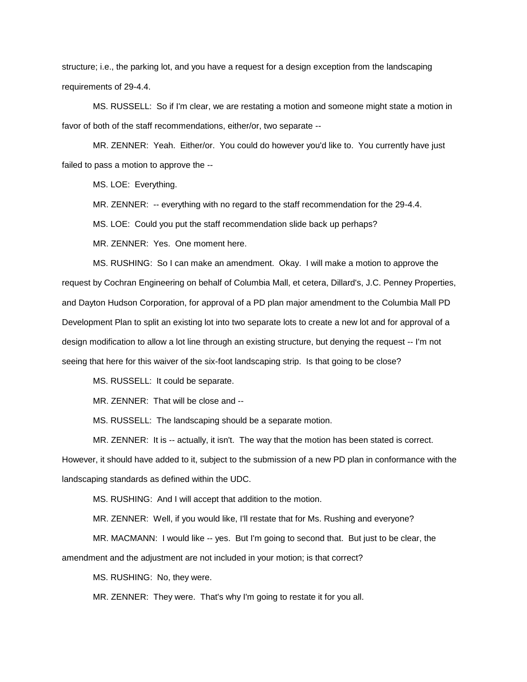structure; i.e., the parking lot, and you have a request for a design exception from the landscaping requirements of 29-4.4.

MS. RUSSELL: So if I'm clear, we are restating a motion and someone might state a motion in favor of both of the staff recommendations, either/or, two separate --

MR. ZENNER: Yeah. Either/or. You could do however you'd like to. You currently have just failed to pass a motion to approve the --

MS. LOE: Everything.

MR. ZENNER: -- everything with no regard to the staff recommendation for the 29-4.4.

MS. LOE: Could you put the staff recommendation slide back up perhaps?

MR. ZENNER: Yes. One moment here.

MS. RUSHING: So I can make an amendment. Okay. I will make a motion to approve the request by Cochran Engineering on behalf of Columbia Mall, et cetera, Dillard's, J.C. Penney Properties, and Dayton Hudson Corporation, for approval of a PD plan major amendment to the Columbia Mall PD Development Plan to split an existing lot into two separate lots to create a new lot and for approval of a design modification to allow a lot line through an existing structure, but denying the request -- I'm not seeing that here for this waiver of the six-foot landscaping strip. Is that going to be close?

MS. RUSSELL: It could be separate.

MR. ZENNER: That will be close and --

MS. RUSSELL: The landscaping should be a separate motion.

MR. ZENNER: It is -- actually, it isn't. The way that the motion has been stated is correct.

However, it should have added to it, subject to the submission of a new PD plan in conformance with the landscaping standards as defined within the UDC.

MS. RUSHING: And I will accept that addition to the motion.

MR. ZENNER: Well, if you would like, I'll restate that for Ms. Rushing and everyone?

MR. MACMANN: I would like -- yes. But I'm going to second that. But just to be clear, the amendment and the adjustment are not included in your motion; is that correct?

MS. RUSHING: No, they were.

MR. ZENNER: They were. That's why I'm going to restate it for you all.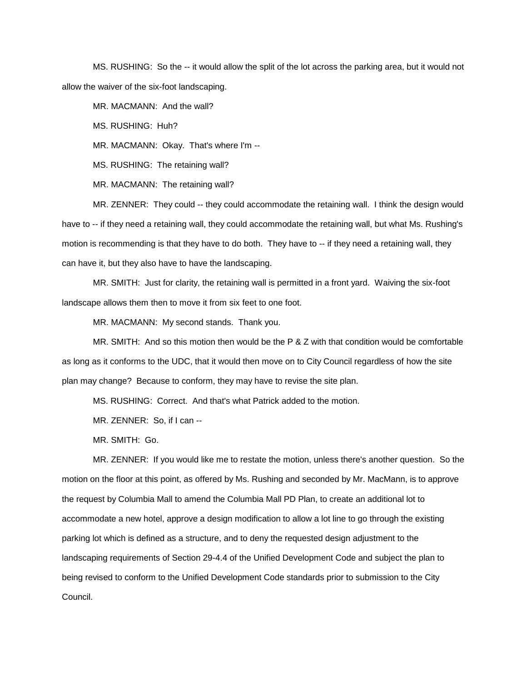MS. RUSHING: So the -- it would allow the split of the lot across the parking area, but it would not allow the waiver of the six-foot landscaping.

MR. MACMANN: And the wall?

MS. RUSHING: Huh?

MR. MACMANN: Okay. That's where I'm --

MS. RUSHING: The retaining wall?

MR. MACMANN: The retaining wall?

MR. ZENNER: They could -- they could accommodate the retaining wall. I think the design would have to -- if they need a retaining wall, they could accommodate the retaining wall, but what Ms. Rushing's motion is recommending is that they have to do both. They have to -- if they need a retaining wall, they can have it, but they also have to have the landscaping.

MR. SMITH: Just for clarity, the retaining wall is permitted in a front yard. Waiving the six-foot landscape allows them then to move it from six feet to one foot.

MR. MACMANN: My second stands. Thank you.

MR. SMITH: And so this motion then would be the P & Z with that condition would be comfortable as long as it conforms to the UDC, that it would then move on to City Council regardless of how the site plan may change? Because to conform, they may have to revise the site plan.

MS. RUSHING: Correct. And that's what Patrick added to the motion.

MR. ZENNER: So, if I can --

MR. SMITH: Go.

MR. ZENNER: If you would like me to restate the motion, unless there's another question. So the motion on the floor at this point, as offered by Ms. Rushing and seconded by Mr. MacMann, is to approve the request by Columbia Mall to amend the Columbia Mall PD Plan, to create an additional lot to accommodate a new hotel, approve a design modification to allow a lot line to go through the existing parking lot which is defined as a structure, and to deny the requested design adjustment to the landscaping requirements of Section 29-4.4 of the Unified Development Code and subject the plan to being revised to conform to the Unified Development Code standards prior to submission to the City Council.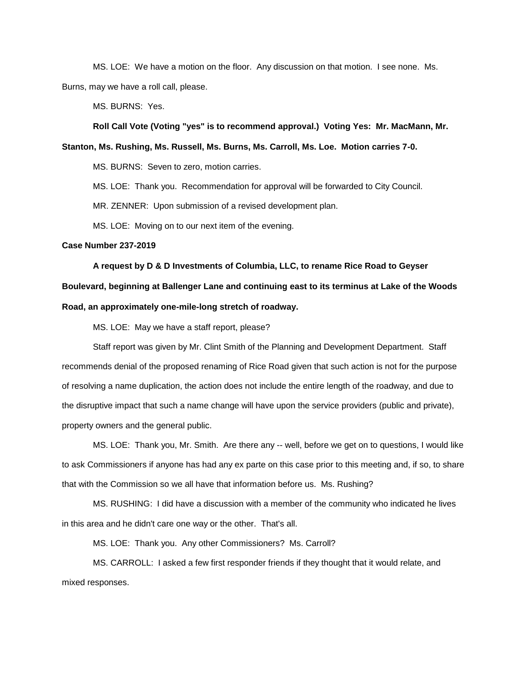MS. LOE: We have a motion on the floor. Any discussion on that motion. I see none. Ms. Burns, may we have a roll call, please.

MS. BURNS: Yes.

**Roll Call Vote (Voting "yes" is to recommend approval.) Voting Yes: Mr. MacMann, Mr.** 

**Stanton, Ms. Rushing, Ms. Russell, Ms. Burns, Ms. Carroll, Ms. Loe. Motion carries 7-0.**

MS. BURNS: Seven to zero, motion carries.

MS. LOE: Thank you. Recommendation for approval will be forwarded to City Council.

MR. ZENNER: Upon submission of a revised development plan.

MS. LOE: Moving on to our next item of the evening.

## **Case Number 237-2019**

**A request by D & D Investments of Columbia, LLC, to rename Rice Road to Geyser Boulevard, beginning at Ballenger Lane and continuing east to its terminus at Lake of the Woods Road, an approximately one-mile-long stretch of roadway.**

MS. LOE: May we have a staff report, please?

Staff report was given by Mr. Clint Smith of the Planning and Development Department. Staff recommends denial of the proposed renaming of Rice Road given that such action is not for the purpose of resolving a name duplication, the action does not include the entire length of the roadway, and due to the disruptive impact that such a name change will have upon the service providers (public and private), property owners and the general public.

MS. LOE: Thank you, Mr. Smith. Are there any -- well, before we get on to questions, I would like to ask Commissioners if anyone has had any ex parte on this case prior to this meeting and, if so, to share that with the Commission so we all have that information before us. Ms. Rushing?

MS. RUSHING: I did have a discussion with a member of the community who indicated he lives in this area and he didn't care one way or the other. That's all.

MS. LOE: Thank you. Any other Commissioners? Ms. Carroll?

MS. CARROLL: I asked a few first responder friends if they thought that it would relate, and mixed responses.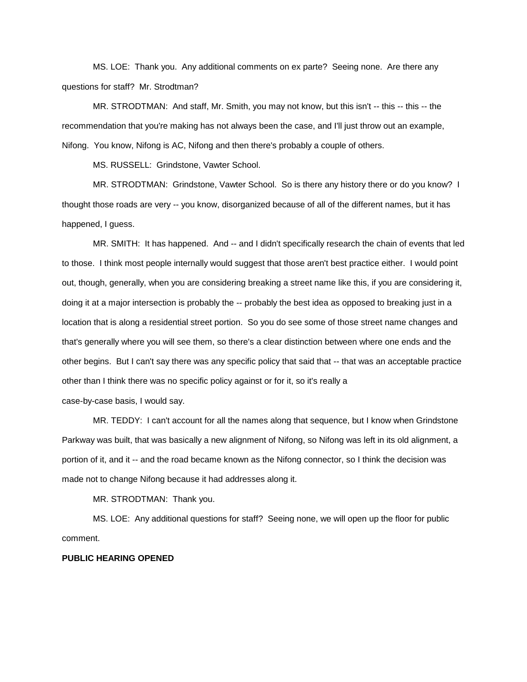MS. LOE: Thank you. Any additional comments on ex parte? Seeing none. Are there any questions for staff? Mr. Strodtman?

MR. STRODTMAN: And staff, Mr. Smith, you may not know, but this isn't -- this -- this -- the recommendation that you're making has not always been the case, and I'll just throw out an example, Nifong. You know, Nifong is AC, Nifong and then there's probably a couple of others.

MS. RUSSELL: Grindstone, Vawter School.

MR. STRODTMAN: Grindstone, Vawter School. So is there any history there or do you know? I thought those roads are very -- you know, disorganized because of all of the different names, but it has happened, I guess.

MR. SMITH: It has happened. And -- and I didn't specifically research the chain of events that led to those. I think most people internally would suggest that those aren't best practice either. I would point out, though, generally, when you are considering breaking a street name like this, if you are considering it, doing it at a major intersection is probably the -- probably the best idea as opposed to breaking just in a location that is along a residential street portion. So you do see some of those street name changes and that's generally where you will see them, so there's a clear distinction between where one ends and the other begins. But I can't say there was any specific policy that said that -- that was an acceptable practice other than I think there was no specific policy against or for it, so it's really a case-by-case basis, I would say.

MR. TEDDY: I can't account for all the names along that sequence, but I know when Grindstone Parkway was built, that was basically a new alignment of Nifong, so Nifong was left in its old alignment, a portion of it, and it -- and the road became known as the Nifong connector, so I think the decision was made not to change Nifong because it had addresses along it.

MR. STRODTMAN: Thank you.

MS. LOE: Any additional questions for staff? Seeing none, we will open up the floor for public comment.

## **PUBLIC HEARING OPENED**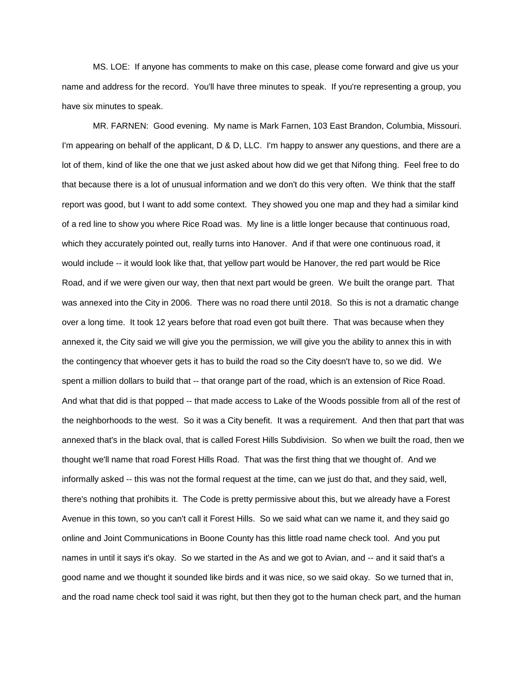MS. LOE: If anyone has comments to make on this case, please come forward and give us your name and address for the record. You'll have three minutes to speak. If you're representing a group, you have six minutes to speak.

MR. FARNEN: Good evening. My name is Mark Farnen, 103 East Brandon, Columbia, Missouri. I'm appearing on behalf of the applicant, D & D, LLC. I'm happy to answer any questions, and there are a lot of them, kind of like the one that we just asked about how did we get that Nifong thing. Feel free to do that because there is a lot of unusual information and we don't do this very often. We think that the staff report was good, but I want to add some context. They showed you one map and they had a similar kind of a red line to show you where Rice Road was. My line is a little longer because that continuous road, which they accurately pointed out, really turns into Hanover. And if that were one continuous road, it would include -- it would look like that, that yellow part would be Hanover, the red part would be Rice Road, and if we were given our way, then that next part would be green. We built the orange part. That was annexed into the City in 2006. There was no road there until 2018. So this is not a dramatic change over a long time. It took 12 years before that road even got built there. That was because when they annexed it, the City said we will give you the permission, we will give you the ability to annex this in with the contingency that whoever gets it has to build the road so the City doesn't have to, so we did. We spent a million dollars to build that -- that orange part of the road, which is an extension of Rice Road. And what that did is that popped -- that made access to Lake of the Woods possible from all of the rest of the neighborhoods to the west. So it was a City benefit. It was a requirement. And then that part that was annexed that's in the black oval, that is called Forest Hills Subdivision. So when we built the road, then we thought we'll name that road Forest Hills Road. That was the first thing that we thought of. And we informally asked -- this was not the formal request at the time, can we just do that, and they said, well, there's nothing that prohibits it. The Code is pretty permissive about this, but we already have a Forest Avenue in this town, so you can't call it Forest Hills. So we said what can we name it, and they said go online and Joint Communications in Boone County has this little road name check tool. And you put names in until it says it's okay. So we started in the As and we got to Avian, and -- and it said that's a good name and we thought it sounded like birds and it was nice, so we said okay. So we turned that in, and the road name check tool said it was right, but then they got to the human check part, and the human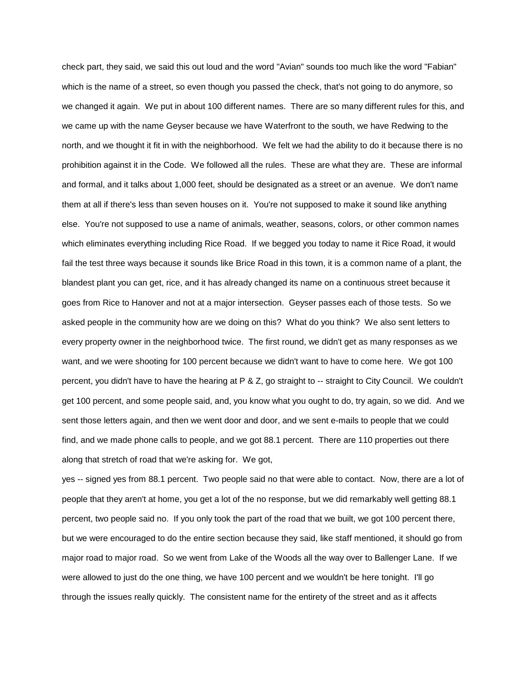check part, they said, we said this out loud and the word "Avian" sounds too much like the word "Fabian" which is the name of a street, so even though you passed the check, that's not going to do anymore, so we changed it again. We put in about 100 different names. There are so many different rules for this, and we came up with the name Geyser because we have Waterfront to the south, we have Redwing to the north, and we thought it fit in with the neighborhood. We felt we had the ability to do it because there is no prohibition against it in the Code. We followed all the rules. These are what they are. These are informal and formal, and it talks about 1,000 feet, should be designated as a street or an avenue. We don't name them at all if there's less than seven houses on it. You're not supposed to make it sound like anything else. You're not supposed to use a name of animals, weather, seasons, colors, or other common names which eliminates everything including Rice Road. If we begged you today to name it Rice Road, it would fail the test three ways because it sounds like Brice Road in this town, it is a common name of a plant, the blandest plant you can get, rice, and it has already changed its name on a continuous street because it goes from Rice to Hanover and not at a major intersection. Geyser passes each of those tests. So we asked people in the community how are we doing on this? What do you think? We also sent letters to every property owner in the neighborhood twice. The first round, we didn't get as many responses as we want, and we were shooting for 100 percent because we didn't want to have to come here. We got 100 percent, you didn't have to have the hearing at P & Z, go straight to -- straight to City Council. We couldn't get 100 percent, and some people said, and, you know what you ought to do, try again, so we did. And we sent those letters again, and then we went door and door, and we sent e-mails to people that we could find, and we made phone calls to people, and we got 88.1 percent. There are 110 properties out there along that stretch of road that we're asking for. We got,

yes -- signed yes from 88.1 percent. Two people said no that were able to contact. Now, there are a lot of people that they aren't at home, you get a lot of the no response, but we did remarkably well getting 88.1 percent, two people said no. If you only took the part of the road that we built, we got 100 percent there, but we were encouraged to do the entire section because they said, like staff mentioned, it should go from major road to major road. So we went from Lake of the Woods all the way over to Ballenger Lane. If we were allowed to just do the one thing, we have 100 percent and we wouldn't be here tonight. I'll go through the issues really quickly. The consistent name for the entirety of the street and as it affects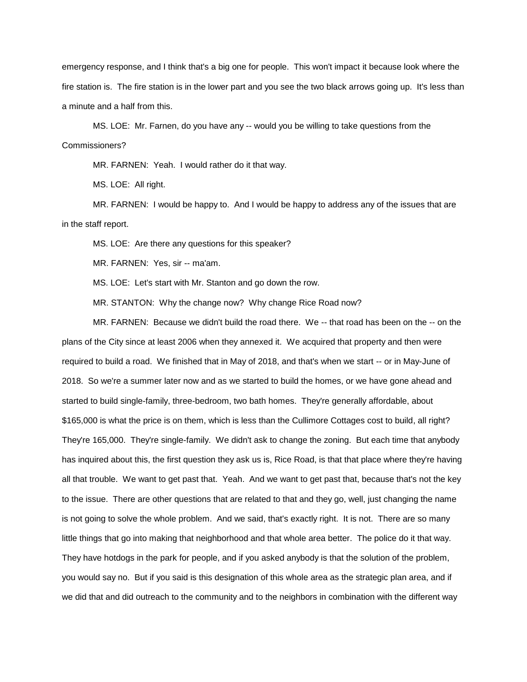emergency response, and I think that's a big one for people. This won't impact it because look where the fire station is. The fire station is in the lower part and you see the two black arrows going up. It's less than a minute and a half from this.

MS. LOE: Mr. Farnen, do you have any -- would you be willing to take questions from the Commissioners?

MR. FARNEN: Yeah. I would rather do it that way.

MS. LOE: All right.

MR. FARNEN: I would be happy to. And I would be happy to address any of the issues that are in the staff report.

MS. LOE: Are there any questions for this speaker?

MR. FARNEN: Yes, sir -- ma'am.

MS. LOE: Let's start with Mr. Stanton and go down the row.

MR. STANTON: Why the change now? Why change Rice Road now?

MR. FARNEN: Because we didn't build the road there. We -- that road has been on the -- on the plans of the City since at least 2006 when they annexed it. We acquired that property and then were required to build a road. We finished that in May of 2018, and that's when we start -- or in May-June of 2018. So we're a summer later now and as we started to build the homes, or we have gone ahead and started to build single-family, three-bedroom, two bath homes. They're generally affordable, about \$165,000 is what the price is on them, which is less than the Cullimore Cottages cost to build, all right? They're 165,000. They're single-family. We didn't ask to change the zoning. But each time that anybody has inquired about this, the first question they ask us is, Rice Road, is that that place where they're having all that trouble. We want to get past that. Yeah. And we want to get past that, because that's not the key to the issue. There are other questions that are related to that and they go, well, just changing the name is not going to solve the whole problem. And we said, that's exactly right. It is not. There are so many little things that go into making that neighborhood and that whole area better. The police do it that way. They have hotdogs in the park for people, and if you asked anybody is that the solution of the problem, you would say no. But if you said is this designation of this whole area as the strategic plan area, and if we did that and did outreach to the community and to the neighbors in combination with the different way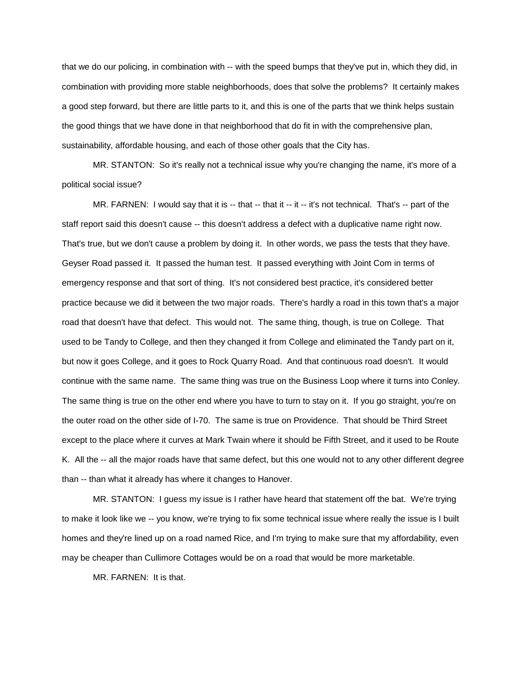that we do our policing, in combination with -- with the speed bumps that they've put in, which they did, in combination with providing more stable neighborhoods, does that solve the problems? It certainly makes a good step forward, but there are little parts to it, and this is one of the parts that we think helps sustain the good things that we have done in that neighborhood that do fit in with the comprehensive plan, sustainability, affordable housing, and each of those other goals that the City has.

MR. STANTON: So it's really not a technical issue why you're changing the name, it's more of a political social issue?

MR. FARNEN: I would say that it is -- that -- that it -- it -- it's not technical. That's -- part of the staff report said this doesn't cause -- this doesn't address a defect with a duplicative name right now. That's true, but we don't cause a problem by doing it. In other words, we pass the tests that they have. Geyser Road passed it. It passed the human test. It passed everything with Joint Com in terms of emergency response and that sort of thing. It's not considered best practice, it's considered better practice because we did it between the two major roads. There's hardly a road in this town that's a major road that doesn't have that defect. This would not. The same thing, though, is true on College. That used to be Tandy to College, and then they changed it from College and eliminated the Tandy part on it, but now it goes College, and it goes to Rock Quarry Road. And that continuous road doesn't. It would continue with the same name. The same thing was true on the Business Loop where it turns into Conley. The same thing is true on the other end where you have to turn to stay on it. If you go straight, you're on the outer road on the other side of I-70. The same is true on Providence. That should be Third Street except to the place where it curves at Mark Twain where it should be Fifth Street, and it used to be Route K. All the -- all the major roads have that same defect, but this one would not to any other different degree than -- than what it already has where it changes to Hanover.

MR. STANTON: I guess my issue is I rather have heard that statement off the bat. We're trying to make it look like we -- you know, we're trying to fix some technical issue where really the issue is I built homes and they're lined up on a road named Rice, and I'm trying to make sure that my affordability, even may be cheaper than Cullimore Cottages would be on a road that would be more marketable.

MR. FARNEN: It is that.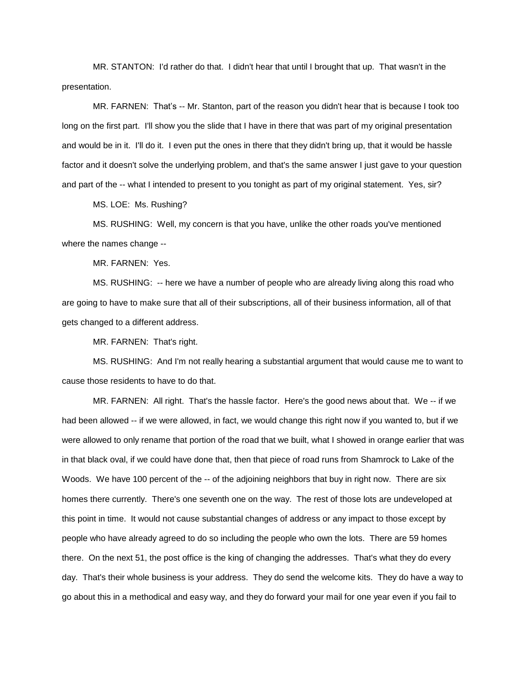MR. STANTON: I'd rather do that. I didn't hear that until I brought that up. That wasn't in the presentation.

MR. FARNEN: That's -- Mr. Stanton, part of the reason you didn't hear that is because I took too long on the first part. I'll show you the slide that I have in there that was part of my original presentation and would be in it. I'll do it. I even put the ones in there that they didn't bring up, that it would be hassle factor and it doesn't solve the underlying problem, and that's the same answer I just gave to your question and part of the -- what I intended to present to you tonight as part of my original statement. Yes, sir?

MS. LOE: Ms. Rushing?

MS. RUSHING: Well, my concern is that you have, unlike the other roads you've mentioned where the names change --

MR. FARNEN: Yes.

MS. RUSHING: -- here we have a number of people who are already living along this road who are going to have to make sure that all of their subscriptions, all of their business information, all of that gets changed to a different address.

MR. FARNEN: That's right.

MS. RUSHING: And I'm not really hearing a substantial argument that would cause me to want to cause those residents to have to do that.

MR. FARNEN: All right. That's the hassle factor. Here's the good news about that. We -- if we had been allowed -- if we were allowed, in fact, we would change this right now if you wanted to, but if we were allowed to only rename that portion of the road that we built, what I showed in orange earlier that was in that black oval, if we could have done that, then that piece of road runs from Shamrock to Lake of the Woods. We have 100 percent of the -- of the adjoining neighbors that buy in right now. There are six homes there currently. There's one seventh one on the way. The rest of those lots are undeveloped at this point in time. It would not cause substantial changes of address or any impact to those except by people who have already agreed to do so including the people who own the lots. There are 59 homes there. On the next 51, the post office is the king of changing the addresses. That's what they do every day. That's their whole business is your address. They do send the welcome kits. They do have a way to go about this in a methodical and easy way, and they do forward your mail for one year even if you fail to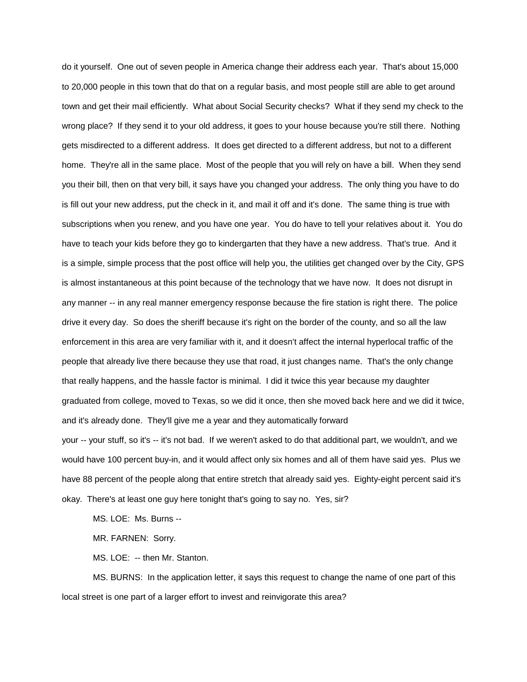do it yourself. One out of seven people in America change their address each year. That's about 15,000 to 20,000 people in this town that do that on a regular basis, and most people still are able to get around town and get their mail efficiently. What about Social Security checks? What if they send my check to the wrong place? If they send it to your old address, it goes to your house because you're still there. Nothing gets misdirected to a different address. It does get directed to a different address, but not to a different home. They're all in the same place. Most of the people that you will rely on have a bill. When they send you their bill, then on that very bill, it says have you changed your address. The only thing you have to do is fill out your new address, put the check in it, and mail it off and it's done. The same thing is true with subscriptions when you renew, and you have one year. You do have to tell your relatives about it. You do have to teach your kids before they go to kindergarten that they have a new address. That's true. And it is a simple, simple process that the post office will help you, the utilities get changed over by the City, GPS is almost instantaneous at this point because of the technology that we have now. It does not disrupt in any manner -- in any real manner emergency response because the fire station is right there. The police drive it every day. So does the sheriff because it's right on the border of the county, and so all the law enforcement in this area are very familiar with it, and it doesn't affect the internal hyperlocal traffic of the people that already live there because they use that road, it just changes name. That's the only change that really happens, and the hassle factor is minimal. I did it twice this year because my daughter graduated from college, moved to Texas, so we did it once, then she moved back here and we did it twice, and it's already done. They'll give me a year and they automatically forward your -- your stuff, so it's -- it's not bad. If we weren't asked to do that additional part, we wouldn't, and we would have 100 percent buy-in, and it would affect only six homes and all of them have said yes. Plus we have 88 percent of the people along that entire stretch that already said yes. Eighty-eight percent said it's okay. There's at least one guy here tonight that's going to say no. Yes, sir?

MS. LOE: Ms. Burns --

MR. FARNEN: Sorry.

MS. LOE: -- then Mr. Stanton.

MS. BURNS: In the application letter, it says this request to change the name of one part of this local street is one part of a larger effort to invest and reinvigorate this area?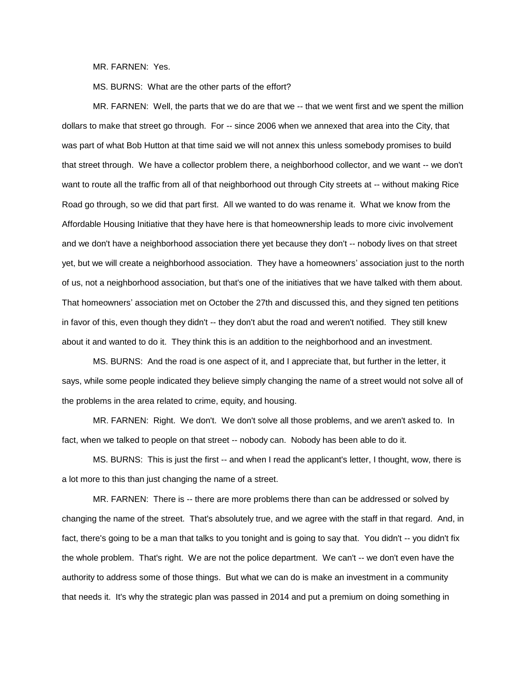MR. FARNEN: Yes.

MS. BURNS: What are the other parts of the effort?

MR. FARNEN: Well, the parts that we do are that we -- that we went first and we spent the million dollars to make that street go through. For -- since 2006 when we annexed that area into the City, that was part of what Bob Hutton at that time said we will not annex this unless somebody promises to build that street through. We have a collector problem there, a neighborhood collector, and we want -- we don't want to route all the traffic from all of that neighborhood out through City streets at -- without making Rice Road go through, so we did that part first. All we wanted to do was rename it. What we know from the Affordable Housing Initiative that they have here is that homeownership leads to more civic involvement and we don't have a neighborhood association there yet because they don't -- nobody lives on that street yet, but we will create a neighborhood association. They have a homeowners' association just to the north of us, not a neighborhood association, but that's one of the initiatives that we have talked with them about. That homeowners' association met on October the 27th and discussed this, and they signed ten petitions in favor of this, even though they didn't -- they don't abut the road and weren't notified. They still knew about it and wanted to do it. They think this is an addition to the neighborhood and an investment.

MS. BURNS: And the road is one aspect of it, and I appreciate that, but further in the letter, it says, while some people indicated they believe simply changing the name of a street would not solve all of the problems in the area related to crime, equity, and housing.

MR. FARNEN: Right. We don't. We don't solve all those problems, and we aren't asked to. In fact, when we talked to people on that street -- nobody can. Nobody has been able to do it.

MS. BURNS: This is just the first -- and when I read the applicant's letter, I thought, wow, there is a lot more to this than just changing the name of a street.

MR. FARNEN: There is -- there are more problems there than can be addressed or solved by changing the name of the street. That's absolutely true, and we agree with the staff in that regard. And, in fact, there's going to be a man that talks to you tonight and is going to say that. You didn't -- you didn't fix the whole problem. That's right. We are not the police department. We can't -- we don't even have the authority to address some of those things. But what we can do is make an investment in a community that needs it. It's why the strategic plan was passed in 2014 and put a premium on doing something in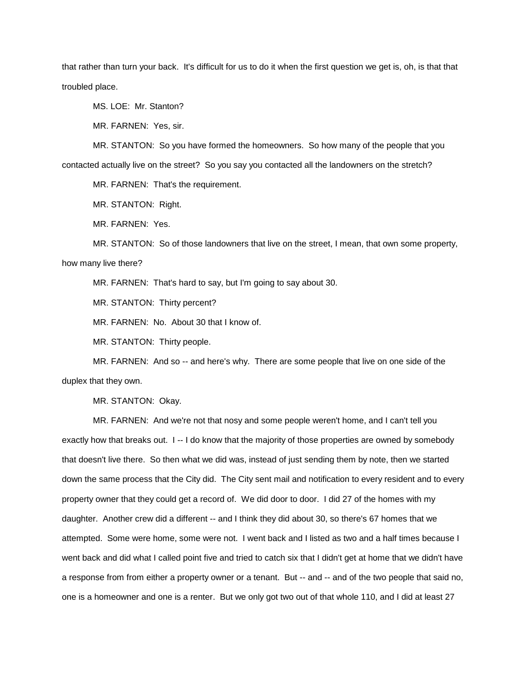that rather than turn your back. It's difficult for us to do it when the first question we get is, oh, is that that troubled place.

MS. LOE: Mr. Stanton?

MR. FARNEN: Yes, sir.

MR. STANTON: So you have formed the homeowners. So how many of the people that you contacted actually live on the street? So you say you contacted all the landowners on the stretch?

MR. FARNEN: That's the requirement.

MR. STANTON: Right.

MR. FARNEN: Yes.

MR. STANTON: So of those landowners that live on the street, I mean, that own some property, how many live there?

MR. FARNEN: That's hard to say, but I'm going to say about 30.

MR. STANTON: Thirty percent?

MR. FARNEN: No. About 30 that I know of.

MR. STANTON: Thirty people.

MR. FARNEN: And so -- and here's why. There are some people that live on one side of the duplex that they own.

MR. STANTON: Okay.

MR. FARNEN: And we're not that nosy and some people weren't home, and I can't tell you exactly how that breaks out. I -- I do know that the majority of those properties are owned by somebody that doesn't live there. So then what we did was, instead of just sending them by note, then we started down the same process that the City did. The City sent mail and notification to every resident and to every property owner that they could get a record of. We did door to door. I did 27 of the homes with my daughter. Another crew did a different -- and I think they did about 30, so there's 67 homes that we attempted. Some were home, some were not. I went back and I listed as two and a half times because I went back and did what I called point five and tried to catch six that I didn't get at home that we didn't have a response from from either a property owner or a tenant. But -- and -- and of the two people that said no, one is a homeowner and one is a renter. But we only got two out of that whole 110, and I did at least 27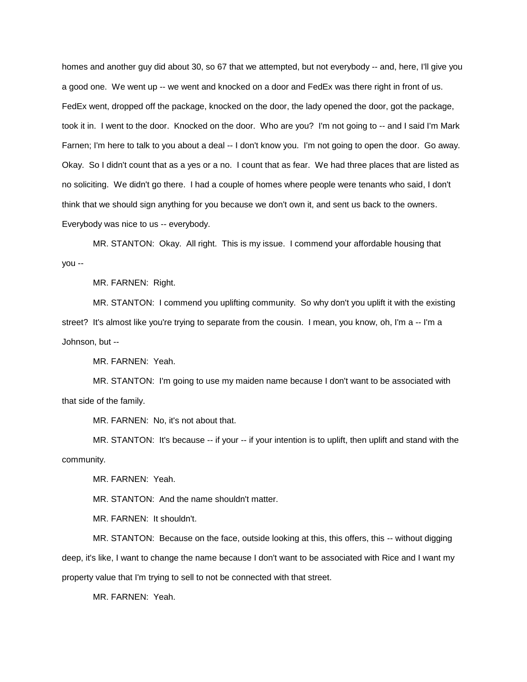homes and another guy did about 30, so 67 that we attempted, but not everybody -- and, here, I'll give you a good one. We went up -- we went and knocked on a door and FedEx was there right in front of us. FedEx went, dropped off the package, knocked on the door, the lady opened the door, got the package, took it in. I went to the door. Knocked on the door. Who are you? I'm not going to -- and I said I'm Mark Farnen; I'm here to talk to you about a deal -- I don't know you. I'm not going to open the door. Go away. Okay. So I didn't count that as a yes or a no. I count that as fear. We had three places that are listed as no soliciting. We didn't go there. I had a couple of homes where people were tenants who said, I don't think that we should sign anything for you because we don't own it, and sent us back to the owners. Everybody was nice to us -- everybody.

MR. STANTON: Okay. All right. This is my issue. I commend your affordable housing that you --

MR. FARNEN: Right.

MR. STANTON: I commend you uplifting community. So why don't you uplift it with the existing street? It's almost like you're trying to separate from the cousin. I mean, you know, oh, I'm a -- I'm a Johnson, but --

MR. FARNEN: Yeah.

MR. STANTON: I'm going to use my maiden name because I don't want to be associated with that side of the family.

MR. FARNEN: No, it's not about that.

MR. STANTON: It's because -- if your -- if your intention is to uplift, then uplift and stand with the community.

MR. FARNEN: Yeah.

MR. STANTON: And the name shouldn't matter.

MR. FARNEN: It shouldn't.

MR. STANTON: Because on the face, outside looking at this, this offers, this -- without digging deep, it's like, I want to change the name because I don't want to be associated with Rice and I want my property value that I'm trying to sell to not be connected with that street.

MR. FARNEN: Yeah.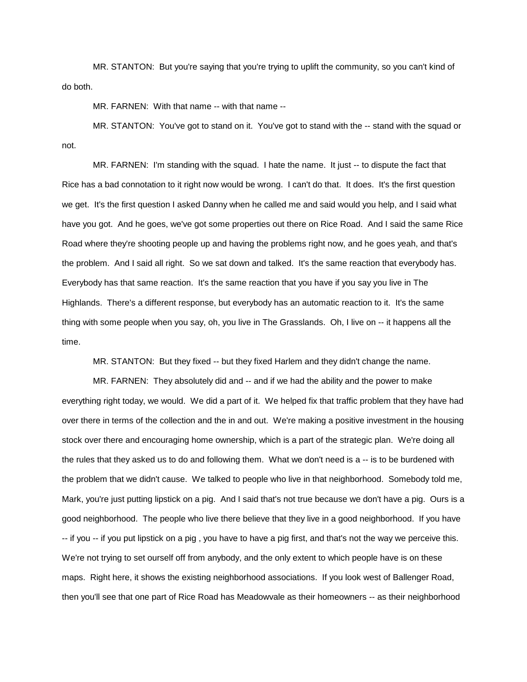MR. STANTON: But you're saying that you're trying to uplift the community, so you can't kind of do both.

MR. FARNEN: With that name -- with that name --

MR. STANTON: You've got to stand on it. You've got to stand with the -- stand with the squad or not.

MR. FARNEN: I'm standing with the squad. I hate the name. It just -- to dispute the fact that Rice has a bad connotation to it right now would be wrong. I can't do that. It does. It's the first question we get. It's the first question I asked Danny when he called me and said would you help, and I said what have you got. And he goes, we've got some properties out there on Rice Road. And I said the same Rice Road where they're shooting people up and having the problems right now, and he goes yeah, and that's the problem. And I said all right. So we sat down and talked. It's the same reaction that everybody has. Everybody has that same reaction. It's the same reaction that you have if you say you live in The Highlands. There's a different response, but everybody has an automatic reaction to it. It's the same thing with some people when you say, oh, you live in The Grasslands. Oh, I live on -- it happens all the time.

MR. STANTON: But they fixed -- but they fixed Harlem and they didn't change the name.

MR. FARNEN: They absolutely did and -- and if we had the ability and the power to make everything right today, we would. We did a part of it. We helped fix that traffic problem that they have had over there in terms of the collection and the in and out. We're making a positive investment in the housing stock over there and encouraging home ownership, which is a part of the strategic plan. We're doing all the rules that they asked us to do and following them. What we don't need is a -- is to be burdened with the problem that we didn't cause. We talked to people who live in that neighborhood. Somebody told me, Mark, you're just putting lipstick on a pig. And I said that's not true because we don't have a pig. Ours is a good neighborhood. The people who live there believe that they live in a good neighborhood. If you have -- if you -- if you put lipstick on a pig , you have to have a pig first, and that's not the way we perceive this. We're not trying to set ourself off from anybody, and the only extent to which people have is on these maps. Right here, it shows the existing neighborhood associations. If you look west of Ballenger Road, then you'll see that one part of Rice Road has Meadowvale as their homeowners -- as their neighborhood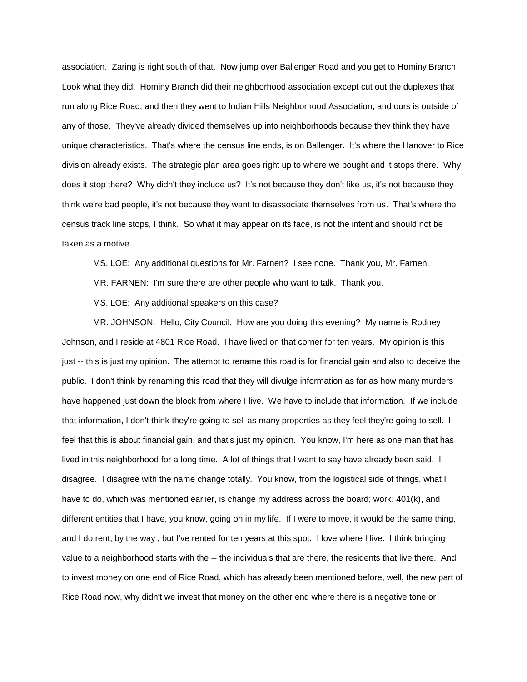association. Zaring is right south of that. Now jump over Ballenger Road and you get to Hominy Branch. Look what they did. Hominy Branch did their neighborhood association except cut out the duplexes that run along Rice Road, and then they went to Indian Hills Neighborhood Association, and ours is outside of any of those. They've already divided themselves up into neighborhoods because they think they have unique characteristics. That's where the census line ends, is on Ballenger. It's where the Hanover to Rice division already exists. The strategic plan area goes right up to where we bought and it stops there. Why does it stop there? Why didn't they include us? It's not because they don't like us, it's not because they think we're bad people, it's not because they want to disassociate themselves from us. That's where the census track line stops, I think. So what it may appear on its face, is not the intent and should not be taken as a motive.

MS. LOE: Any additional questions for Mr. Farnen? I see none. Thank you, Mr. Farnen.

MR. FARNEN: I'm sure there are other people who want to talk. Thank you.

MS. LOE: Any additional speakers on this case?

MR. JOHNSON: Hello, City Council. How are you doing this evening? My name is Rodney Johnson, and I reside at 4801 Rice Road. I have lived on that corner for ten years. My opinion is this just -- this is just my opinion. The attempt to rename this road is for financial gain and also to deceive the public. I don't think by renaming this road that they will divulge information as far as how many murders have happened just down the block from where I live. We have to include that information. If we include that information, I don't think they're going to sell as many properties as they feel they're going to sell. I feel that this is about financial gain, and that's just my opinion. You know, I'm here as one man that has lived in this neighborhood for a long time. A lot of things that I want to say have already been said. I disagree. I disagree with the name change totally. You know, from the logistical side of things, what I have to do, which was mentioned earlier, is change my address across the board; work, 401(k), and different entities that I have, you know, going on in my life. If I were to move, it would be the same thing, and I do rent, by the way , but I've rented for ten years at this spot. I love where I live. I think bringing value to a neighborhood starts with the -- the individuals that are there, the residents that live there. And to invest money on one end of Rice Road, which has already been mentioned before, well, the new part of Rice Road now, why didn't we invest that money on the other end where there is a negative tone or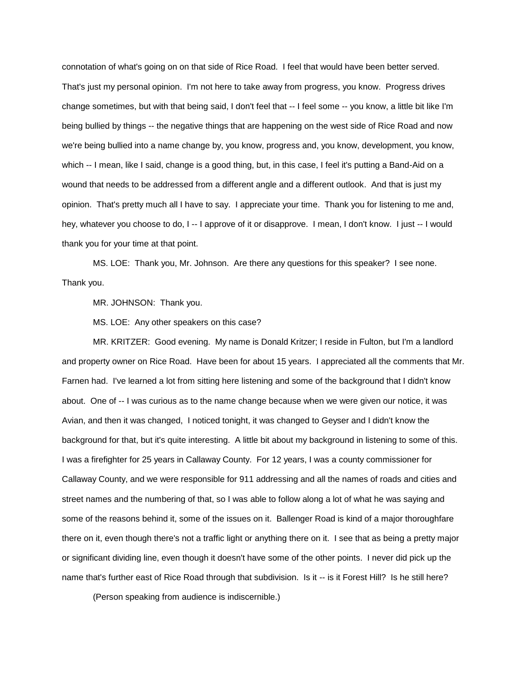connotation of what's going on on that side of Rice Road. I feel that would have been better served. That's just my personal opinion. I'm not here to take away from progress, you know. Progress drives change sometimes, but with that being said, I don't feel that -- I feel some -- you know, a little bit like I'm being bullied by things -- the negative things that are happening on the west side of Rice Road and now we're being bullied into a name change by, you know, progress and, you know, development, you know, which -- I mean, like I said, change is a good thing, but, in this case, I feel it's putting a Band-Aid on a wound that needs to be addressed from a different angle and a different outlook. And that is just my opinion. That's pretty much all I have to say. I appreciate your time. Thank you for listening to me and, hey, whatever you choose to do, I -- I approve of it or disapprove. I mean, I don't know. I just -- I would thank you for your time at that point.

MS. LOE: Thank you, Mr. Johnson. Are there any questions for this speaker? I see none. Thank you.

MR. JOHNSON: Thank you.

MS. LOE: Any other speakers on this case?

MR. KRITZER: Good evening. My name is Donald Kritzer; I reside in Fulton, but I'm a landlord and property owner on Rice Road. Have been for about 15 years. I appreciated all the comments that Mr. Farnen had. I've learned a lot from sitting here listening and some of the background that I didn't know about. One of -- I was curious as to the name change because when we were given our notice, it was Avian, and then it was changed, I noticed tonight, it was changed to Geyser and I didn't know the background for that, but it's quite interesting. A little bit about my background in listening to some of this. I was a firefighter for 25 years in Callaway County. For 12 years, I was a county commissioner for Callaway County, and we were responsible for 911 addressing and all the names of roads and cities and street names and the numbering of that, so I was able to follow along a lot of what he was saying and some of the reasons behind it, some of the issues on it. Ballenger Road is kind of a major thoroughfare there on it, even though there's not a traffic light or anything there on it. I see that as being a pretty major or significant dividing line, even though it doesn't have some of the other points. I never did pick up the name that's further east of Rice Road through that subdivision. Is it -- is it Forest Hill? Is he still here?

(Person speaking from audience is indiscernible.)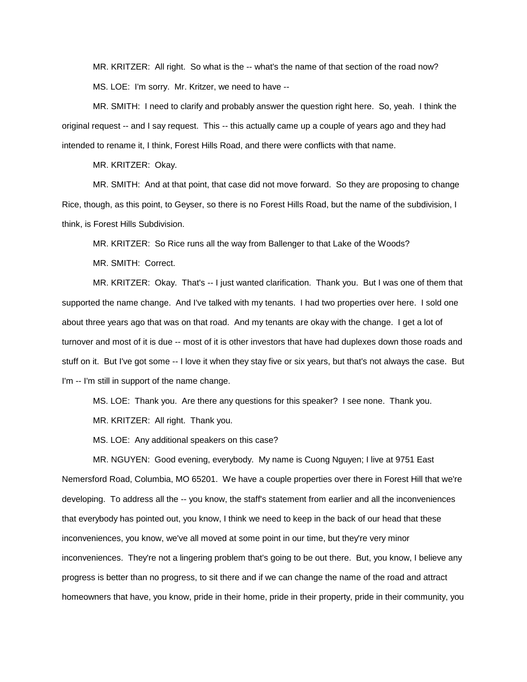MR. KRITZER: All right. So what is the -- what's the name of that section of the road now? MS. LOE: I'm sorry. Mr. Kritzer, we need to have --

MR. SMITH: I need to clarify and probably answer the question right here. So, yeah. I think the original request -- and I say request. This -- this actually came up a couple of years ago and they had intended to rename it, I think, Forest Hills Road, and there were conflicts with that name.

MR. KRITZER: Okay.

MR. SMITH: And at that point, that case did not move forward. So they are proposing to change Rice, though, as this point, to Geyser, so there is no Forest Hills Road, but the name of the subdivision, I think, is Forest Hills Subdivision.

MR. KRITZER: So Rice runs all the way from Ballenger to that Lake of the Woods?

MR. SMITH: Correct.

MR. KRITZER: Okay. That's -- I just wanted clarification. Thank you. But I was one of them that supported the name change. And I've talked with my tenants. I had two properties over here. I sold one about three years ago that was on that road. And my tenants are okay with the change. I get a lot of turnover and most of it is due -- most of it is other investors that have had duplexes down those roads and stuff on it. But I've got some -- I love it when they stay five or six years, but that's not always the case. But I'm -- I'm still in support of the name change.

MS. LOE: Thank you. Are there any questions for this speaker? I see none. Thank you.

MR. KRITZER: All right. Thank you.

MS. LOE: Any additional speakers on this case?

MR. NGUYEN: Good evening, everybody. My name is Cuong Nguyen; I live at 9751 East Nemersford Road, Columbia, MO 65201. We have a couple properties over there in Forest Hill that we're developing. To address all the -- you know, the staff's statement from earlier and all the inconveniences that everybody has pointed out, you know, I think we need to keep in the back of our head that these inconveniences, you know, we've all moved at some point in our time, but they're very minor inconveniences. They're not a lingering problem that's going to be out there. But, you know, I believe any progress is better than no progress, to sit there and if we can change the name of the road and attract homeowners that have, you know, pride in their home, pride in their property, pride in their community, you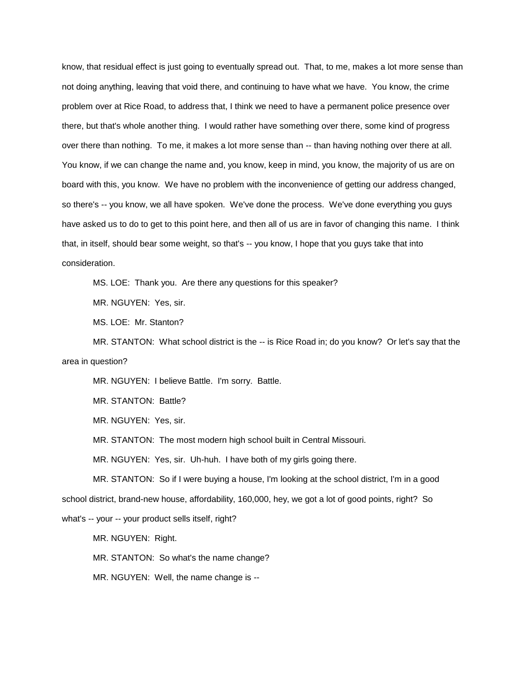know, that residual effect is just going to eventually spread out. That, to me, makes a lot more sense than not doing anything, leaving that void there, and continuing to have what we have. You know, the crime problem over at Rice Road, to address that, I think we need to have a permanent police presence over there, but that's whole another thing. I would rather have something over there, some kind of progress over there than nothing. To me, it makes a lot more sense than -- than having nothing over there at all. You know, if we can change the name and, you know, keep in mind, you know, the majority of us are on board with this, you know. We have no problem with the inconvenience of getting our address changed, so there's -- you know, we all have spoken. We've done the process. We've done everything you guys have asked us to do to get to this point here, and then all of us are in favor of changing this name. I think that, in itself, should bear some weight, so that's -- you know, I hope that you guys take that into consideration.

MS. LOE: Thank you. Are there any questions for this speaker?

MR. NGUYEN: Yes, sir.

MS. LOE: Mr. Stanton?

MR. STANTON: What school district is the -- is Rice Road in; do you know? Or let's say that the area in question?

MR. NGUYEN: I believe Battle. I'm sorry. Battle.

MR. STANTON: Battle?

MR. NGUYEN: Yes, sir.

MR. STANTON: The most modern high school built in Central Missouri.

MR. NGUYEN: Yes, sir. Uh-huh. I have both of my girls going there.

MR. STANTON: So if I were buying a house, I'm looking at the school district, I'm in a good school district, brand-new house, affordability, 160,000, hey, we got a lot of good points, right? So what's -- your -- your product sells itself, right?

MR. NGUYEN: Right.

MR. STANTON: So what's the name change?

MR. NGUYEN: Well, the name change is --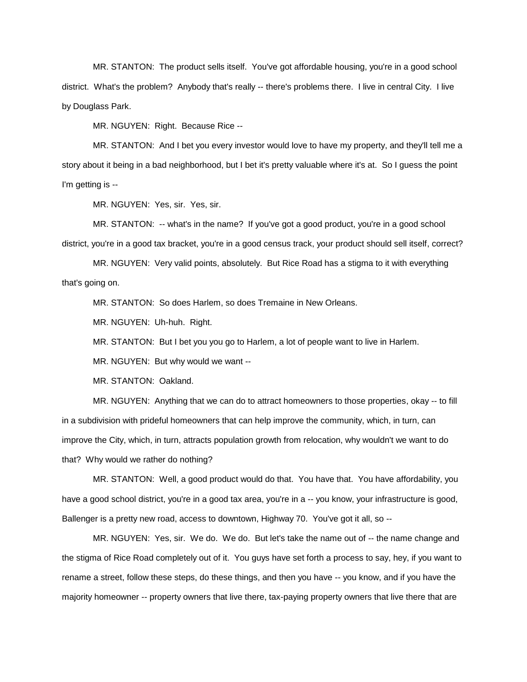MR. STANTON: The product sells itself. You've got affordable housing, you're in a good school district. What's the problem? Anybody that's really -- there's problems there. I live in central City. I live by Douglass Park.

MR. NGUYEN: Right. Because Rice --

MR. STANTON: And I bet you every investor would love to have my property, and they'll tell me a story about it being in a bad neighborhood, but I bet it's pretty valuable where it's at. So I guess the point I'm getting is --

MR. NGUYEN: Yes, sir. Yes, sir.

MR. STANTON: -- what's in the name? If you've got a good product, you're in a good school district, you're in a good tax bracket, you're in a good census track, your product should sell itself, correct?

MR. NGUYEN: Very valid points, absolutely. But Rice Road has a stigma to it with everything that's going on.

MR. STANTON: So does Harlem, so does Tremaine in New Orleans.

MR. NGUYEN: Uh-huh. Right.

MR. STANTON: But I bet you you go to Harlem, a lot of people want to live in Harlem.

MR. NGUYEN: But why would we want --

MR. STANTON: Oakland.

MR. NGUYEN: Anything that we can do to attract homeowners to those properties, okay -- to fill in a subdivision with prideful homeowners that can help improve the community, which, in turn, can improve the City, which, in turn, attracts population growth from relocation, why wouldn't we want to do that? Why would we rather do nothing?

MR. STANTON: Well, a good product would do that. You have that. You have affordability, you have a good school district, you're in a good tax area, you're in a -- you know, your infrastructure is good, Ballenger is a pretty new road, access to downtown, Highway 70. You've got it all, so --

MR. NGUYEN: Yes, sir. We do. We do. But let's take the name out of -- the name change and the stigma of Rice Road completely out of it. You guys have set forth a process to say, hey, if you want to rename a street, follow these steps, do these things, and then you have -- you know, and if you have the majority homeowner -- property owners that live there, tax-paying property owners that live there that are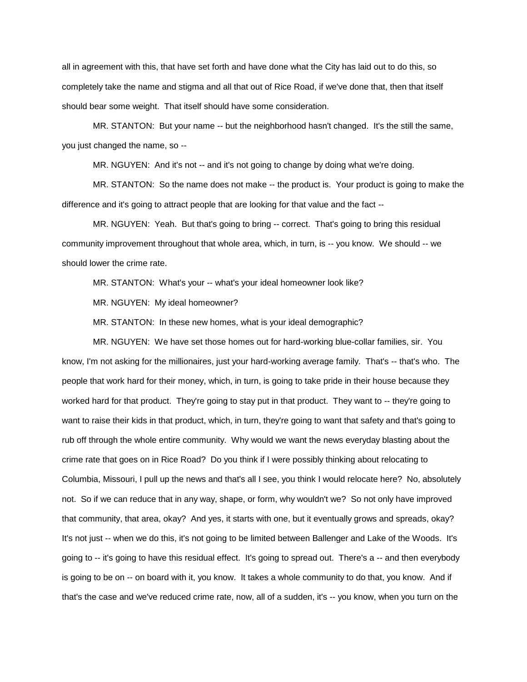all in agreement with this, that have set forth and have done what the City has laid out to do this, so completely take the name and stigma and all that out of Rice Road, if we've done that, then that itself should bear some weight. That itself should have some consideration.

MR. STANTON: But your name -- but the neighborhood hasn't changed. It's the still the same, you just changed the name, so --

MR. NGUYEN: And it's not -- and it's not going to change by doing what we're doing.

MR. STANTON: So the name does not make -- the product is. Your product is going to make the difference and it's going to attract people that are looking for that value and the fact --

MR. NGUYEN: Yeah. But that's going to bring -- correct. That's going to bring this residual community improvement throughout that whole area, which, in turn, is -- you know. We should -- we should lower the crime rate.

MR. STANTON: What's your -- what's your ideal homeowner look like?

MR. NGUYEN: My ideal homeowner?

MR. STANTON: In these new homes, what is your ideal demographic?

MR. NGUYEN: We have set those homes out for hard-working blue-collar families, sir. You know, I'm not asking for the millionaires, just your hard-working average family. That's -- that's who. The people that work hard for their money, which, in turn, is going to take pride in their house because they worked hard for that product. They're going to stay put in that product. They want to -- they're going to want to raise their kids in that product, which, in turn, they're going to want that safety and that's going to rub off through the whole entire community. Why would we want the news everyday blasting about the crime rate that goes on in Rice Road? Do you think if I were possibly thinking about relocating to Columbia, Missouri, I pull up the news and that's all I see, you think I would relocate here? No, absolutely not. So if we can reduce that in any way, shape, or form, why wouldn't we? So not only have improved that community, that area, okay? And yes, it starts with one, but it eventually grows and spreads, okay? It's not just -- when we do this, it's not going to be limited between Ballenger and Lake of the Woods. It's going to -- it's going to have this residual effect. It's going to spread out. There's a -- and then everybody is going to be on -- on board with it, you know. It takes a whole community to do that, you know. And if that's the case and we've reduced crime rate, now, all of a sudden, it's -- you know, when you turn on the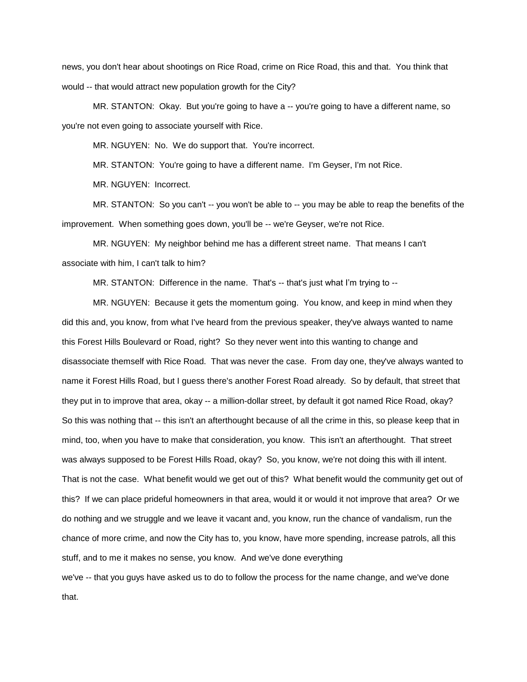news, you don't hear about shootings on Rice Road, crime on Rice Road, this and that. You think that would -- that would attract new population growth for the City?

MR. STANTON: Okay. But you're going to have a -- you're going to have a different name, so you're not even going to associate yourself with Rice.

MR. NGUYEN: No. We do support that. You're incorrect.

MR. STANTON: You're going to have a different name. I'm Geyser, I'm not Rice.

MR. NGUYEN: Incorrect.

MR. STANTON: So you can't -- you won't be able to -- you may be able to reap the benefits of the improvement. When something goes down, you'll be -- we're Geyser, we're not Rice.

MR. NGUYEN: My neighbor behind me has a different street name. That means I can't associate with him, I can't talk to him?

MR. STANTON: Difference in the name. That's -- that's just what I'm trying to --

MR. NGUYEN: Because it gets the momentum going. You know, and keep in mind when they did this and, you know, from what I've heard from the previous speaker, they've always wanted to name this Forest Hills Boulevard or Road, right? So they never went into this wanting to change and disassociate themself with Rice Road. That was never the case. From day one, they've always wanted to name it Forest Hills Road, but I guess there's another Forest Road already. So by default, that street that they put in to improve that area, okay -- a million-dollar street, by default it got named Rice Road, okay? So this was nothing that -- this isn't an afterthought because of all the crime in this, so please keep that in mind, too, when you have to make that consideration, you know. This isn't an afterthought. That street was always supposed to be Forest Hills Road, okay? So, you know, we're not doing this with ill intent. That is not the case. What benefit would we get out of this? What benefit would the community get out of this? If we can place prideful homeowners in that area, would it or would it not improve that area? Or we do nothing and we struggle and we leave it vacant and, you know, run the chance of vandalism, run the chance of more crime, and now the City has to, you know, have more spending, increase patrols, all this stuff, and to me it makes no sense, you know. And we've done everything we've -- that you guys have asked us to do to follow the process for the name change, and we've done that.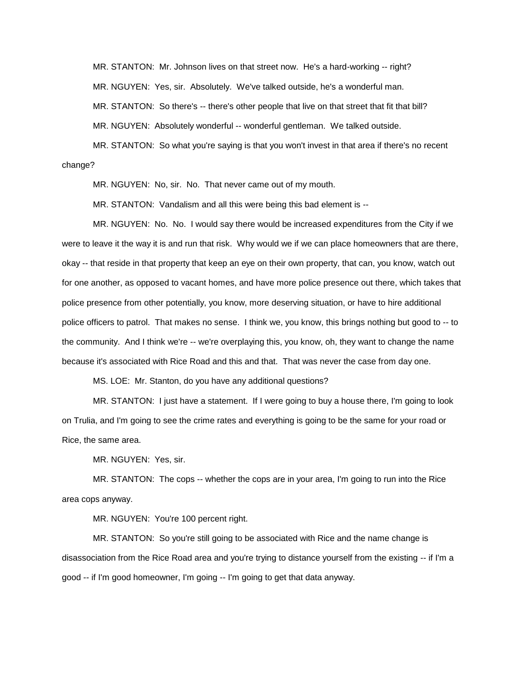MR. STANTON: Mr. Johnson lives on that street now. He's a hard-working -- right?

MR. NGUYEN: Yes, sir. Absolutely. We've talked outside, he's a wonderful man.

MR. STANTON: So there's -- there's other people that live on that street that fit that bill?

MR. NGUYEN: Absolutely wonderful -- wonderful gentleman. We talked outside.

MR. STANTON: So what you're saying is that you won't invest in that area if there's no recent change?

MR. NGUYEN: No, sir. No. That never came out of my mouth.

MR. STANTON: Vandalism and all this were being this bad element is --

MR. NGUYEN: No. No. I would say there would be increased expenditures from the City if we were to leave it the way it is and run that risk. Why would we if we can place homeowners that are there, okay -- that reside in that property that keep an eye on their own property, that can, you know, watch out for one another, as opposed to vacant homes, and have more police presence out there, which takes that police presence from other potentially, you know, more deserving situation, or have to hire additional police officers to patrol. That makes no sense. I think we, you know, this brings nothing but good to -- to the community. And I think we're -- we're overplaying this, you know, oh, they want to change the name because it's associated with Rice Road and this and that. That was never the case from day one.

MS. LOE: Mr. Stanton, do you have any additional questions?

MR. STANTON: I just have a statement. If I were going to buy a house there, I'm going to look on Trulia, and I'm going to see the crime rates and everything is going to be the same for your road or Rice, the same area.

MR. NGUYEN: Yes, sir.

MR. STANTON: The cops -- whether the cops are in your area, I'm going to run into the Rice area cops anyway.

MR. NGUYEN: You're 100 percent right.

MR. STANTON: So you're still going to be associated with Rice and the name change is disassociation from the Rice Road area and you're trying to distance yourself from the existing -- if I'm a good -- if I'm good homeowner, I'm going -- I'm going to get that data anyway.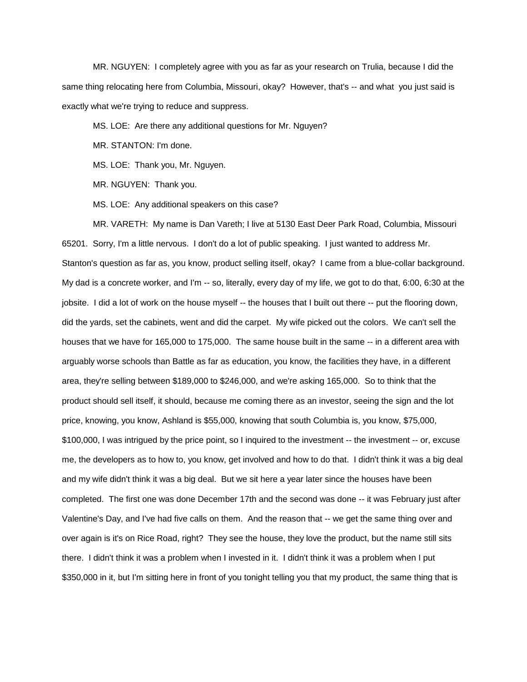MR. NGUYEN: I completely agree with you as far as your research on Trulia, because I did the same thing relocating here from Columbia, Missouri, okay? However, that's -- and what you just said is exactly what we're trying to reduce and suppress.

MS. LOE: Are there any additional questions for Mr. Nguyen?

MR. STANTON: I'm done.

MS. LOE: Thank you, Mr. Nguyen.

MR. NGUYEN: Thank you.

MS. LOE: Any additional speakers on this case?

MR. VARETH: My name is Dan Vareth; I live at 5130 East Deer Park Road, Columbia, Missouri 65201. Sorry, I'm a little nervous. I don't do a lot of public speaking. I just wanted to address Mr. Stanton's question as far as, you know, product selling itself, okay? I came from a blue-collar background. My dad is a concrete worker, and I'm -- so, literally, every day of my life, we got to do that, 6:00, 6:30 at the jobsite. I did a lot of work on the house myself -- the houses that I built out there -- put the flooring down, did the yards, set the cabinets, went and did the carpet. My wife picked out the colors. We can't sell the houses that we have for 165,000 to 175,000. The same house built in the same -- in a different area with arguably worse schools than Battle as far as education, you know, the facilities they have, in a different area, they're selling between \$189,000 to \$246,000, and we're asking 165,000. So to think that the product should sell itself, it should, because me coming there as an investor, seeing the sign and the lot price, knowing, you know, Ashland is \$55,000, knowing that south Columbia is, you know, \$75,000, \$100,000, I was intrigued by the price point, so I inquired to the investment -- the investment -- or, excuse me, the developers as to how to, you know, get involved and how to do that. I didn't think it was a big deal and my wife didn't think it was a big deal. But we sit here a year later since the houses have been completed. The first one was done December 17th and the second was done -- it was February just after Valentine's Day, and I've had five calls on them. And the reason that -- we get the same thing over and over again is it's on Rice Road, right? They see the house, they love the product, but the name still sits there. I didn't think it was a problem when I invested in it. I didn't think it was a problem when I put \$350,000 in it, but I'm sitting here in front of you tonight telling you that my product, the same thing that is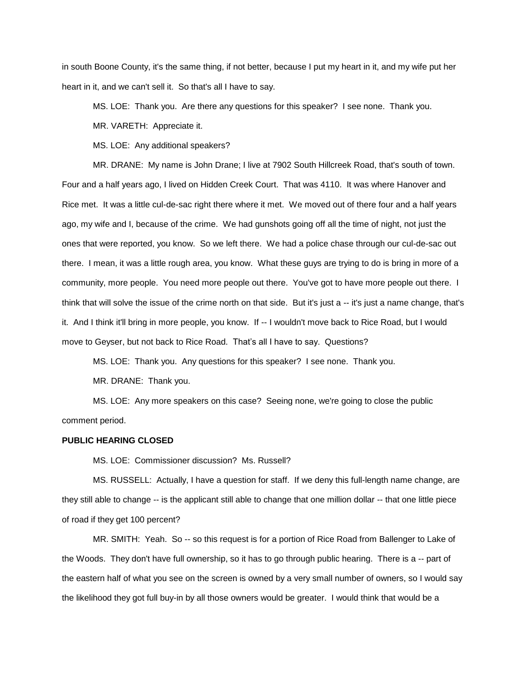in south Boone County, it's the same thing, if not better, because I put my heart in it, and my wife put her heart in it, and we can't sell it. So that's all I have to say.

MS. LOE: Thank you. Are there any questions for this speaker? I see none. Thank you.

MR. VARETH: Appreciate it.

MS. LOE: Any additional speakers?

MR. DRANE: My name is John Drane; I live at 7902 South Hillcreek Road, that's south of town. Four and a half years ago, I lived on Hidden Creek Court. That was 4110. It was where Hanover and Rice met. It was a little cul-de-sac right there where it met. We moved out of there four and a half years ago, my wife and I, because of the crime. We had gunshots going off all the time of night, not just the ones that were reported, you know. So we left there. We had a police chase through our cul-de-sac out there. I mean, it was a little rough area, you know. What these guys are trying to do is bring in more of a community, more people. You need more people out there. You've got to have more people out there. I think that will solve the issue of the crime north on that side. But it's just a -- it's just a name change, that's it. And I think it'll bring in more people, you know. If -- I wouldn't move back to Rice Road, but I would move to Geyser, but not back to Rice Road. That's all I have to say. Questions?

MS. LOE: Thank you. Any questions for this speaker? I see none. Thank you.

MR. DRANE: Thank you.

MS. LOE: Any more speakers on this case? Seeing none, we're going to close the public comment period.

# **PUBLIC HEARING CLOSED**

MS. LOE: Commissioner discussion? Ms. Russell?

MS. RUSSELL: Actually, I have a question for staff. If we deny this full-length name change, are they still able to change -- is the applicant still able to change that one million dollar -- that one little piece of road if they get 100 percent?

MR. SMITH: Yeah. So -- so this request is for a portion of Rice Road from Ballenger to Lake of the Woods. They don't have full ownership, so it has to go through public hearing. There is a -- part of the eastern half of what you see on the screen is owned by a very small number of owners, so I would say the likelihood they got full buy-in by all those owners would be greater. I would think that would be a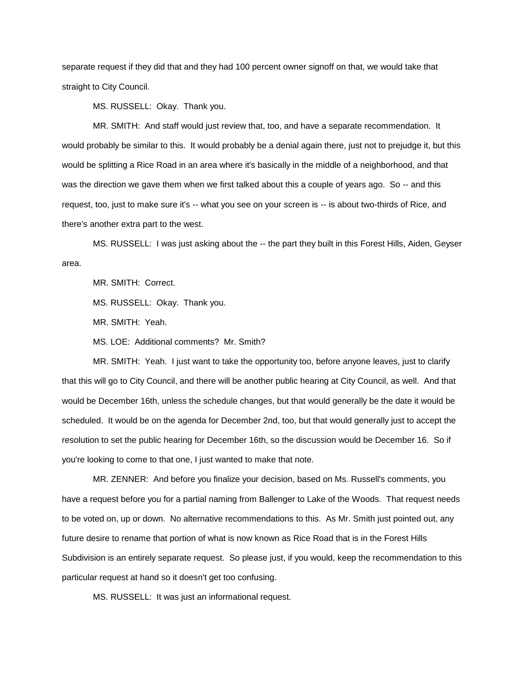separate request if they did that and they had 100 percent owner signoff on that, we would take that straight to City Council.

MS. RUSSELL: Okay. Thank you.

MR. SMITH: And staff would just review that, too, and have a separate recommendation. It would probably be similar to this. It would probably be a denial again there, just not to prejudge it, but this would be splitting a Rice Road in an area where it's basically in the middle of a neighborhood, and that was the direction we gave them when we first talked about this a couple of years ago. So -- and this request, too, just to make sure it's -- what you see on your screen is -- is about two-thirds of Rice, and there's another extra part to the west.

MS. RUSSELL: I was just asking about the -- the part they built in this Forest Hills, Aiden, Geyser area.

MR. SMITH: Correct.

MS. RUSSELL: Okay. Thank you.

MR. SMITH: Yeah.

MS. LOE: Additional comments? Mr. Smith?

MR. SMITH: Yeah. I just want to take the opportunity too, before anyone leaves, just to clarify that this will go to City Council, and there will be another public hearing at City Council, as well. And that would be December 16th, unless the schedule changes, but that would generally be the date it would be scheduled. It would be on the agenda for December 2nd, too, but that would generally just to accept the resolution to set the public hearing for December 16th, so the discussion would be December 16. So if you're looking to come to that one, I just wanted to make that note.

MR. ZENNER: And before you finalize your decision, based on Ms. Russell's comments, you have a request before you for a partial naming from Ballenger to Lake of the Woods. That request needs to be voted on, up or down. No alternative recommendations to this. As Mr. Smith just pointed out, any future desire to rename that portion of what is now known as Rice Road that is in the Forest Hills Subdivision is an entirely separate request. So please just, if you would, keep the recommendation to this particular request at hand so it doesn't get too confusing.

MS. RUSSELL: It was just an informational request.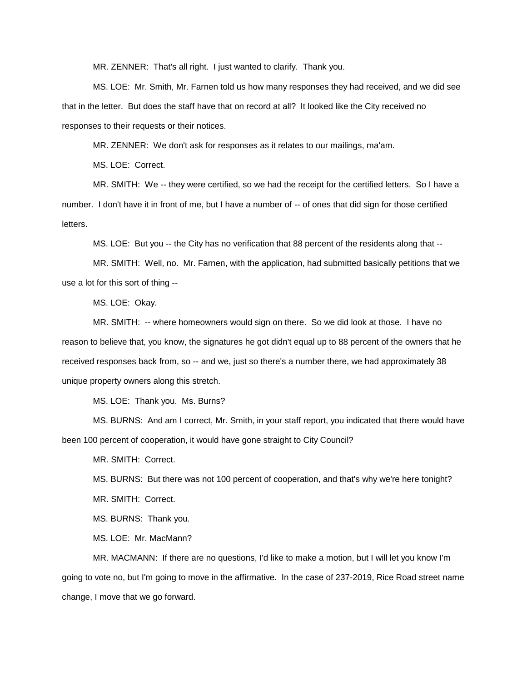MR. ZENNER: That's all right. I just wanted to clarify. Thank you.

MS. LOE: Mr. Smith, Mr. Farnen told us how many responses they had received, and we did see that in the letter. But does the staff have that on record at all? It looked like the City received no responses to their requests or their notices.

MR. ZENNER: We don't ask for responses as it relates to our mailings, ma'am.

MS. LOE: Correct.

MR. SMITH: We -- they were certified, so we had the receipt for the certified letters. So I have a number. I don't have it in front of me, but I have a number of -- of ones that did sign for those certified letters.

MS. LOE: But you -- the City has no verification that 88 percent of the residents along that --

MR. SMITH: Well, no. Mr. Farnen, with the application, had submitted basically petitions that we use a lot for this sort of thing --

MS. LOE: Okay.

MR. SMITH: -- where homeowners would sign on there. So we did look at those. I have no reason to believe that, you know, the signatures he got didn't equal up to 88 percent of the owners that he received responses back from, so -- and we, just so there's a number there, we had approximately 38 unique property owners along this stretch.

MS. LOE: Thank you. Ms. Burns?

MS. BURNS: And am I correct, Mr. Smith, in your staff report, you indicated that there would have been 100 percent of cooperation, it would have gone straight to City Council?

MR. SMITH: Correct.

MS. BURNS: But there was not 100 percent of cooperation, and that's why we're here tonight? MR. SMITH: Correct.

MS. BURNS: Thank you.

MS. LOE: Mr. MacMann?

MR. MACMANN: If there are no questions, I'd like to make a motion, but I will let you know I'm going to vote no, but I'm going to move in the affirmative. In the case of 237-2019, Rice Road street name change, I move that we go forward.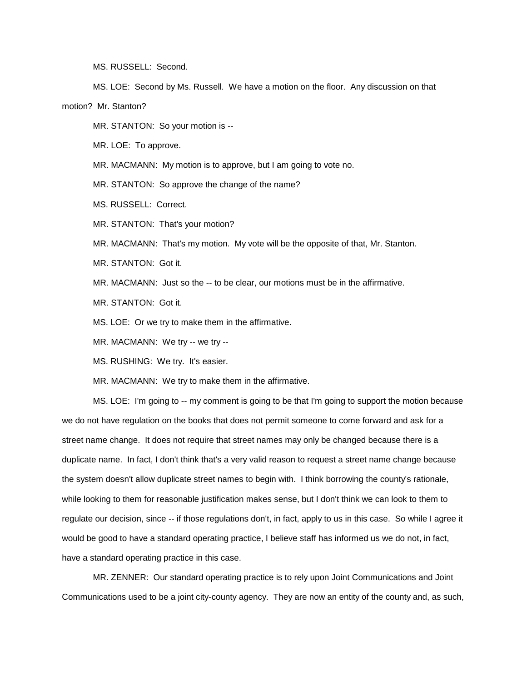MS. RUSSELL: Second.

MS. LOE: Second by Ms. Russell. We have a motion on the floor. Any discussion on that motion? Mr. Stanton?

MR. STANTON: So your motion is --

MR. LOE: To approve.

MR. MACMANN: My motion is to approve, but I am going to vote no.

MR. STANTON: So approve the change of the name?

MS. RUSSELL: Correct.

MR. STANTON: That's your motion?

MR. MACMANN: That's my motion. My vote will be the opposite of that, Mr. Stanton.

MR. STANTON: Got it.

MR. MACMANN: Just so the -- to be clear, our motions must be in the affirmative.

MR. STANTON: Got it.

MS. LOE: Or we try to make them in the affirmative.

MR. MACMANN: We try -- we try --

MS. RUSHING: We try. It's easier.

MR. MACMANN: We try to make them in the affirmative.

MS. LOE: I'm going to -- my comment is going to be that I'm going to support the motion because we do not have regulation on the books that does not permit someone to come forward and ask for a street name change. It does not require that street names may only be changed because there is a duplicate name. In fact, I don't think that's a very valid reason to request a street name change because the system doesn't allow duplicate street names to begin with. I think borrowing the county's rationale, while looking to them for reasonable justification makes sense, but I don't think we can look to them to regulate our decision, since -- if those regulations don't, in fact, apply to us in this case. So while I agree it would be good to have a standard operating practice, I believe staff has informed us we do not, in fact, have a standard operating practice in this case.

MR. ZENNER: Our standard operating practice is to rely upon Joint Communications and Joint Communications used to be a joint city-county agency. They are now an entity of the county and, as such,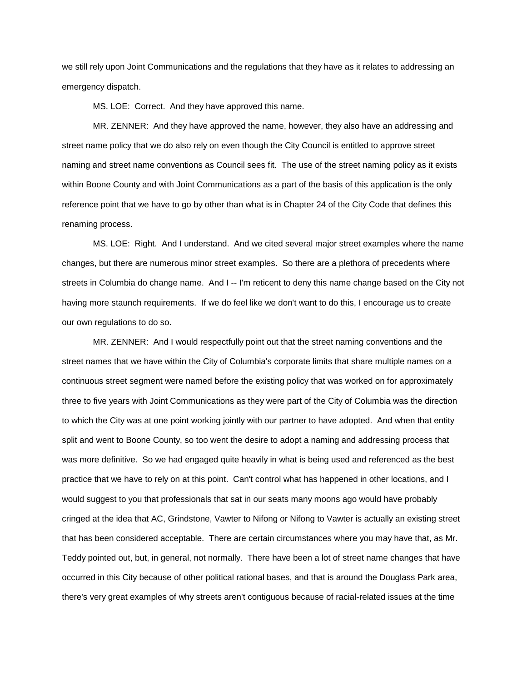we still rely upon Joint Communications and the regulations that they have as it relates to addressing an emergency dispatch.

MS. LOE: Correct. And they have approved this name.

MR. ZENNER: And they have approved the name, however, they also have an addressing and street name policy that we do also rely on even though the City Council is entitled to approve street naming and street name conventions as Council sees fit. The use of the street naming policy as it exists within Boone County and with Joint Communications as a part of the basis of this application is the only reference point that we have to go by other than what is in Chapter 24 of the City Code that defines this renaming process.

MS. LOE: Right. And I understand. And we cited several major street examples where the name changes, but there are numerous minor street examples. So there are a plethora of precedents where streets in Columbia do change name. And I -- I'm reticent to deny this name change based on the City not having more staunch requirements. If we do feel like we don't want to do this, I encourage us to create our own regulations to do so.

MR. ZENNER: And I would respectfully point out that the street naming conventions and the street names that we have within the City of Columbia's corporate limits that share multiple names on a continuous street segment were named before the existing policy that was worked on for approximately three to five years with Joint Communications as they were part of the City of Columbia was the direction to which the City was at one point working jointly with our partner to have adopted. And when that entity split and went to Boone County, so too went the desire to adopt a naming and addressing process that was more definitive. So we had engaged quite heavily in what is being used and referenced as the best practice that we have to rely on at this point. Can't control what has happened in other locations, and I would suggest to you that professionals that sat in our seats many moons ago would have probably cringed at the idea that AC, Grindstone, Vawter to Nifong or Nifong to Vawter is actually an existing street that has been considered acceptable. There are certain circumstances where you may have that, as Mr. Teddy pointed out, but, in general, not normally. There have been a lot of street name changes that have occurred in this City because of other political rational bases, and that is around the Douglass Park area, there's very great examples of why streets aren't contiguous because of racial-related issues at the time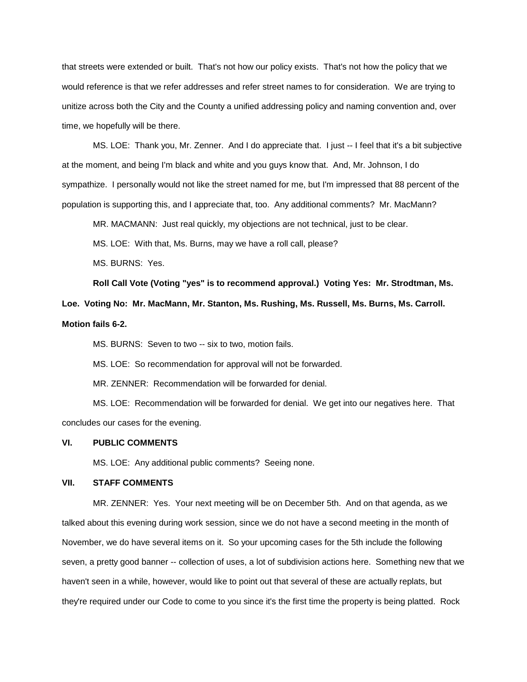that streets were extended or built. That's not how our policy exists. That's not how the policy that we would reference is that we refer addresses and refer street names to for consideration. We are trying to unitize across both the City and the County a unified addressing policy and naming convention and, over time, we hopefully will be there.

MS. LOE: Thank you, Mr. Zenner. And I do appreciate that. I just -- I feel that it's a bit subjective at the moment, and being I'm black and white and you guys know that. And, Mr. Johnson, I do sympathize. I personally would not like the street named for me, but I'm impressed that 88 percent of the population is supporting this, and I appreciate that, too. Any additional comments? Mr. MacMann?

MR. MACMANN: Just real quickly, my objections are not technical, just to be clear.

MS. LOE: With that, Ms. Burns, may we have a roll call, please?

MS. BURNS: Yes.

**Roll Call Vote (Voting "yes" is to recommend approval.) Voting Yes: Mr. Strodtman, Ms.** 

**Loe. Voting No: Mr. MacMann, Mr. Stanton, Ms. Rushing, Ms. Russell, Ms. Burns, Ms. Carroll. Motion fails 6-2.**

MS. BURNS: Seven to two -- six to two, motion fails.

MS. LOE: So recommendation for approval will not be forwarded.

MR. ZENNER: Recommendation will be forwarded for denial.

MS. LOE: Recommendation will be forwarded for denial. We get into our negatives here. That concludes our cases for the evening.

# **VI. PUBLIC COMMENTS**

MS. LOE: Any additional public comments? Seeing none.

# **VII. STAFF COMMENTS**

MR. ZENNER: Yes. Your next meeting will be on December 5th. And on that agenda, as we talked about this evening during work session, since we do not have a second meeting in the month of November, we do have several items on it. So your upcoming cases for the 5th include the following seven, a pretty good banner -- collection of uses, a lot of subdivision actions here. Something new that we haven't seen in a while, however, would like to point out that several of these are actually replats, but they're required under our Code to come to you since it's the first time the property is being platted. Rock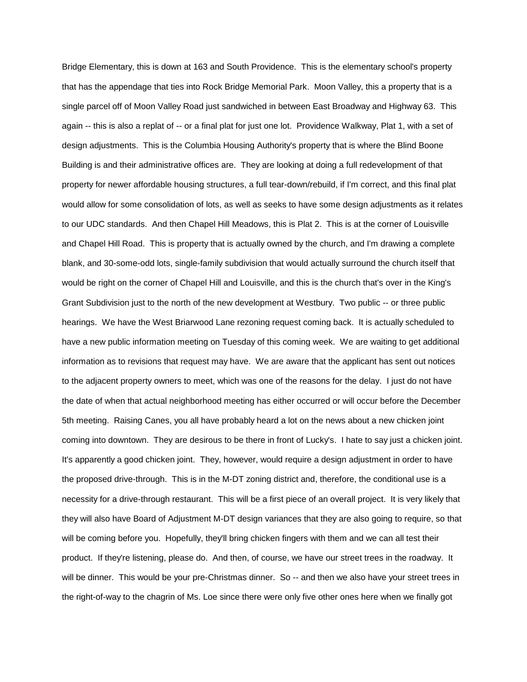Bridge Elementary, this is down at 163 and South Providence. This is the elementary school's property that has the appendage that ties into Rock Bridge Memorial Park. Moon Valley, this a property that is a single parcel off of Moon Valley Road just sandwiched in between East Broadway and Highway 63. This again -- this is also a replat of -- or a final plat for just one lot. Providence Walkway, Plat 1, with a set of design adjustments. This is the Columbia Housing Authority's property that is where the Blind Boone Building is and their administrative offices are. They are looking at doing a full redevelopment of that property for newer affordable housing structures, a full tear-down/rebuild, if I'm correct, and this final plat would allow for some consolidation of lots, as well as seeks to have some design adjustments as it relates to our UDC standards. And then Chapel Hill Meadows, this is Plat 2. This is at the corner of Louisville and Chapel Hill Road. This is property that is actually owned by the church, and I'm drawing a complete blank, and 30-some-odd lots, single-family subdivision that would actually surround the church itself that would be right on the corner of Chapel Hill and Louisville, and this is the church that's over in the King's Grant Subdivision just to the north of the new development at Westbury. Two public -- or three public hearings. We have the West Briarwood Lane rezoning request coming back. It is actually scheduled to have a new public information meeting on Tuesday of this coming week. We are waiting to get additional information as to revisions that request may have. We are aware that the applicant has sent out notices to the adjacent property owners to meet, which was one of the reasons for the delay. I just do not have the date of when that actual neighborhood meeting has either occurred or will occur before the December 5th meeting. Raising Canes, you all have probably heard a lot on the news about a new chicken joint coming into downtown. They are desirous to be there in front of Lucky's. I hate to say just a chicken joint. It's apparently a good chicken joint. They, however, would require a design adjustment in order to have the proposed drive-through. This is in the M-DT zoning district and, therefore, the conditional use is a necessity for a drive-through restaurant. This will be a first piece of an overall project. It is very likely that they will also have Board of Adjustment M-DT design variances that they are also going to require, so that will be coming before you. Hopefully, they'll bring chicken fingers with them and we can all test their product. If they're listening, please do. And then, of course, we have our street trees in the roadway. It will be dinner. This would be your pre-Christmas dinner. So -- and then we also have your street trees in the right-of-way to the chagrin of Ms. Loe since there were only five other ones here when we finally got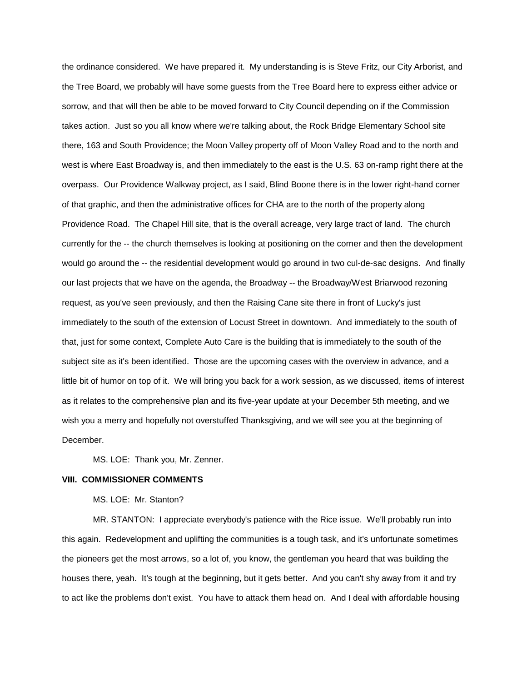the ordinance considered. We have prepared it. My understanding is is Steve Fritz, our City Arborist, and the Tree Board, we probably will have some guests from the Tree Board here to express either advice or sorrow, and that will then be able to be moved forward to City Council depending on if the Commission takes action. Just so you all know where we're talking about, the Rock Bridge Elementary School site there, 163 and South Providence; the Moon Valley property off of Moon Valley Road and to the north and west is where East Broadway is, and then immediately to the east is the U.S. 63 on-ramp right there at the overpass. Our Providence Walkway project, as I said, Blind Boone there is in the lower right-hand corner of that graphic, and then the administrative offices for CHA are to the north of the property along Providence Road. The Chapel Hill site, that is the overall acreage, very large tract of land. The church currently for the -- the church themselves is looking at positioning on the corner and then the development would go around the -- the residential development would go around in two cul-de-sac designs. And finally our last projects that we have on the agenda, the Broadway -- the Broadway/West Briarwood rezoning request, as you've seen previously, and then the Raising Cane site there in front of Lucky's just immediately to the south of the extension of Locust Street in downtown. And immediately to the south of that, just for some context, Complete Auto Care is the building that is immediately to the south of the subject site as it's been identified. Those are the upcoming cases with the overview in advance, and a little bit of humor on top of it. We will bring you back for a work session, as we discussed, items of interest as it relates to the comprehensive plan and its five-year update at your December 5th meeting, and we wish you a merry and hopefully not overstuffed Thanksgiving, and we will see you at the beginning of December.

MS. LOE: Thank you, Mr. Zenner.

## **VIII. COMMISSIONER COMMENTS**

## MS. LOE: Mr. Stanton?

MR. STANTON: I appreciate everybody's patience with the Rice issue. We'll probably run into this again. Redevelopment and uplifting the communities is a tough task, and it's unfortunate sometimes the pioneers get the most arrows, so a lot of, you know, the gentleman you heard that was building the houses there, yeah. It's tough at the beginning, but it gets better. And you can't shy away from it and try to act like the problems don't exist. You have to attack them head on. And I deal with affordable housing